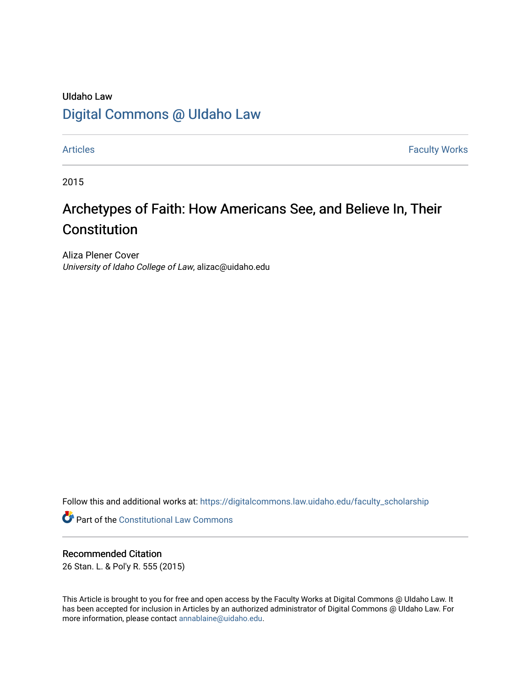# UIdaho Law [Digital Commons @ UIdaho Law](https://digitalcommons.law.uidaho.edu/)

[Articles](https://digitalcommons.law.uidaho.edu/faculty_scholarship) **Faculty Works** 

2015

# Archetypes of Faith: How Americans See, and Believe In, Their Constitution

Aliza Plener Cover University of Idaho College of Law, alizac@uidaho.edu

Follow this and additional works at: [https://digitalcommons.law.uidaho.edu/faculty\\_scholarship](https://digitalcommons.law.uidaho.edu/faculty_scholarship?utm_source=digitalcommons.law.uidaho.edu%2Ffaculty_scholarship%2F127&utm_medium=PDF&utm_campaign=PDFCoverPages) 

**P** Part of the Constitutional Law Commons

### Recommended Citation

26 Stan. L. & Pol'y R. 555 (2015)

This Article is brought to you for free and open access by the Faculty Works at Digital Commons @ UIdaho Law. It has been accepted for inclusion in Articles by an authorized administrator of Digital Commons @ UIdaho Law. For more information, please contact [annablaine@uidaho.edu.](mailto:annablaine@uidaho.edu)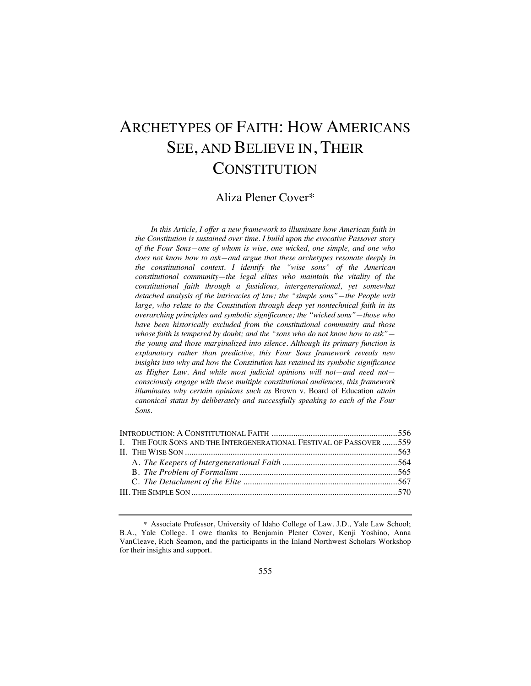# ARCHETYPES OF FAITH: HOW AMERICANS SEE, AND BELIEVE IN, THEIR **CONSTITUTION**

## Aliza Plener Cover\*

*In this Article, I offer a new framework to illuminate how American faith in the Constitution is sustained over time. I build upon the evocative Passover story of the Four Sons—one of whom is wise, one wicked, one simple, and one who does not know how to ask—and argue that these archetypes resonate deeply in the constitutional context. I identify the "wise sons" of the American constitutional community—the legal elites who maintain the vitality of the constitutional faith through a fastidious, intergenerational, yet somewhat detached analysis of the intricacies of law; the "simple sons"—the People writ large, who relate to the Constitution through deep yet nontechnical faith in its overarching principles and symbolic significance; the "wicked sons"—those who have been historically excluded from the constitutional community and those whose faith is tempered by doubt; and the "sons who do not know how to ask" the young and those marginalized into silence. Although its primary function is explanatory rather than predictive, this Four Sons framework reveals new insights into why and how the Constitution has retained its symbolic significance as Higher Law. And while most judicial opinions will not—and need not consciously engage with these multiple constitutional audiences, this framework illuminates why certain opinions such as* Brown v. Board of Education *attain canonical status by deliberately and successfully speaking to each of the Four Sons.*

|  | I. THE FOUR SONS AND THE INTERGENERATIONAL FESTIVAL OF PASSOVER 559 |  |
|--|---------------------------------------------------------------------|--|
|  |                                                                     |  |
|  |                                                                     |  |
|  |                                                                     |  |
|  |                                                                     |  |
|  |                                                                     |  |
|  |                                                                     |  |

<sup>\*</sup> Associate Professor, University of Idaho College of Law. J.D., Yale Law School; B.A., Yale College. I owe thanks to Benjamin Plener Cover, Kenji Yoshino, Anna VanCleave, Rich Seamon, and the participants in the Inland Northwest Scholars Workshop for their insights and support.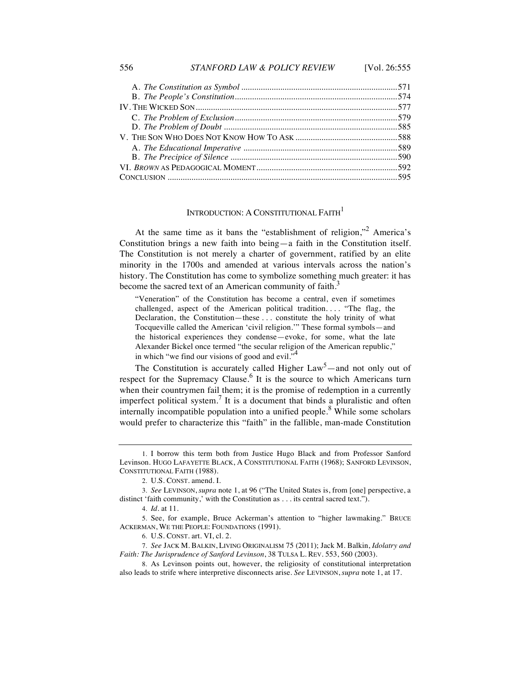#### 556 *STANFORD LAW & POLICY REVIEW* [Vol. 26:555

### INTRODUCTION: A CONSTITUTIONAL FAITH<sup>1</sup>

At the same time as it bans the "establishment of religion,"<sup>2</sup> America's Constitution brings a new faith into being—a faith in the Constitution itself. The Constitution is not merely a charter of government, ratified by an elite minority in the 1700s and amended at various intervals across the nation's history. The Constitution has come to symbolize something much greater: it has become the sacred text of an American community of faith. $3$ 

"Veneration" of the Constitution has become a central, even if sometimes challenged, aspect of the American political tradition. . . . "The flag, the Declaration, the Constitution—these . . . constitute the holy trinity of what Tocqueville called the American 'civil religion.'" These formal symbols—and the historical experiences they condense—evoke, for some, what the late Alexander Bickel once termed "the secular religion of the American republic," in which "we find our visions of good and evil." $\sim$ 

The Constitution is accurately called Higher  $Law<sup>5</sup>$  and not only out of respect for the Supremacy Clause.<sup>6</sup> It is the source to which Americans turn when their countrymen fail them; it is the promise of redemption in a currently imperfect political system.<sup>7</sup> It is a document that binds a pluralistic and often internally incompatible population into a unified people.<sup>8</sup> While some scholars would prefer to characterize this "faith" in the fallible, man-made Constitution

<sup>1.</sup> I borrow this term both from Justice Hugo Black and from Professor Sanford Levinson. HUGO LAFAYETTE BLACK, A CONSTITUTIONAL FAITH (1968); SANFORD LEVINSON, CONSTITUTIONAL FAITH (1988).

<sup>2.</sup> U.S. CONST. amend. I.

<sup>3.</sup> *See* LEVINSON, *supra* note 1, at 96 ("The United States is, from [one] perspective, a distinct 'faith community,' with the Constitution as . . . its central sacred text.").

<sup>4.</sup> *Id.* at 11.

<sup>5.</sup> See, for example, Bruce Ackerman's attention to "higher lawmaking." BRUCE ACKERMAN, WE THE PEOPLE: FOUNDATIONS (1991).

<sup>6.</sup> U.S. CONST. art. VI, cl. 2.

<sup>7.</sup> *See* JACK M. BALKIN, LIVING ORIGINALISM 75 (2011); Jack M. Balkin, *Idolatry and Faith: The Jurisprudence of Sanford Levinson*, 38 TULSA L. REV. 553, 560 (2003).

<sup>8.</sup> As Levinson points out, however, the religiosity of constitutional interpretation also leads to strife where interpretive disconnects arise. *See* LEVINSON, *supra* note 1, at 17.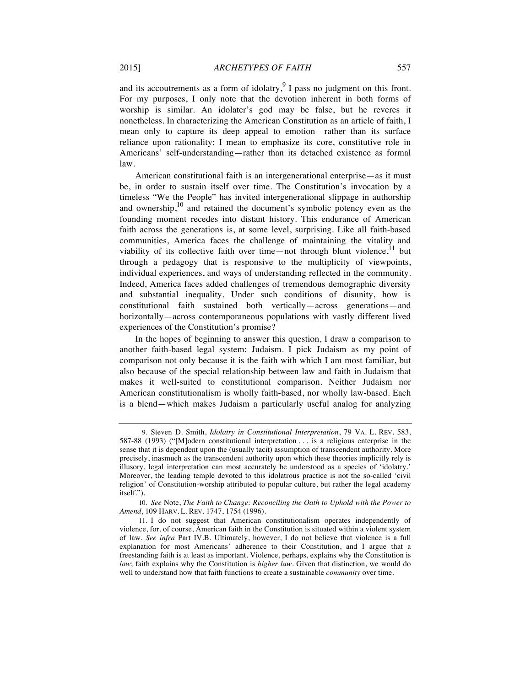and its accoutrements as a form of idolatry, $9$  I pass no judgment on this front. For my purposes, I only note that the devotion inherent in both forms of worship is similar. An idolater's god may be false, but he reveres it nonetheless. In characterizing the American Constitution as an article of faith, I mean only to capture its deep appeal to emotion—rather than its surface reliance upon rationality; I mean to emphasize its core, constitutive role in Americans' self-understanding—rather than its detached existence as formal law.

American constitutional faith is an intergenerational enterprise—as it must be, in order to sustain itself over time. The Constitution's invocation by a timeless "We the People" has invited intergenerational slippage in authorship and ownership, $10<sup>10</sup>$  and retained the document's symbolic potency even as the founding moment recedes into distant history. This endurance of American faith across the generations is, at some level, surprising. Like all faith-based communities, America faces the challenge of maintaining the vitality and viability of its collective faith over time—not through blunt violence,<sup>11</sup> but through a pedagogy that is responsive to the multiplicity of viewpoints, individual experiences, and ways of understanding reflected in the community. Indeed, America faces added challenges of tremendous demographic diversity and substantial inequality. Under such conditions of disunity, how is constitutional faith sustained both vertically—across generations—and horizontally—across contemporaneous populations with vastly different lived experiences of the Constitution's promise?

In the hopes of beginning to answer this question, I draw a comparison to another faith-based legal system: Judaism. I pick Judaism as my point of comparison not only because it is the faith with which I am most familiar, but also because of the special relationship between law and faith in Judaism that makes it well-suited to constitutional comparison. Neither Judaism nor American constitutionalism is wholly faith-based, nor wholly law-based. Each is a blend—which makes Judaism a particularly useful analog for analyzing

<sup>9.</sup> Steven D. Smith, *Idolatry in Constitutional Interpretation*, 79 VA. L. REV. 583, 587-88 (1993) ("[M]odern constitutional interpretation . . . is a religious enterprise in the sense that it is dependent upon the (usually tacit) assumption of transcendent authority. More precisely, inasmuch as the transcendent authority upon which these theories implicitly rely is illusory, legal interpretation can most accurately be understood as a species of 'idolatry.' Moreover, the leading temple devoted to this idolatrous practice is not the so-called 'civil religion' of Constitution-worship attributed to popular culture, but rather the legal academy itself.").

<sup>10.</sup> *See* Note, *The Faith to Change: Reconciling the Oath to Uphold with the Power to Amend*, 109 HARV. L. REV. 1747, 1754 (1996).

<sup>11.</sup> I do not suggest that American constitutionalism operates independently of violence, for, of course, American faith in the Constitution is situated within a violent system of law. *See infra* Part IV.B*.* Ultimately, however, I do not believe that violence is a full explanation for most Americans' adherence to their Constitution, and I argue that a freestanding faith is at least as important. Violence, perhaps, explains why the Constitution is *law*; faith explains why the Constitution is *higher law*. Given that distinction, we would do well to understand how that faith functions to create a sustainable *community* over time.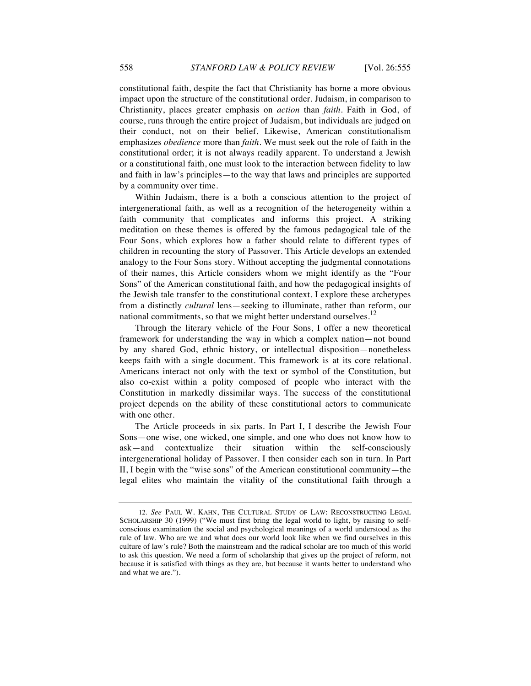constitutional faith, despite the fact that Christianity has borne a more obvious impact upon the structure of the constitutional order. Judaism, in comparison to Christianity, places greater emphasis on *action* than *faith*. Faith in God, of course, runs through the entire project of Judaism, but individuals are judged on their conduct, not on their belief. Likewise, American constitutionalism emphasizes *obedience* more than *faith*. We must seek out the role of faith in the constitutional order; it is not always readily apparent. To understand a Jewish or a constitutional faith, one must look to the interaction between fidelity to law and faith in law's principles—to the way that laws and principles are supported by a community over time.

Within Judaism, there is a both a conscious attention to the project of intergenerational faith, as well as a recognition of the heterogeneity within a faith community that complicates and informs this project. A striking meditation on these themes is offered by the famous pedagogical tale of the Four Sons, which explores how a father should relate to different types of children in recounting the story of Passover. This Article develops an extended analogy to the Four Sons story. Without accepting the judgmental connotations of their names, this Article considers whom we might identify as the "Four Sons" of the American constitutional faith, and how the pedagogical insights of the Jewish tale transfer to the constitutional context. I explore these archetypes from a distinctly *cultural* lens—seeking to illuminate, rather than reform, our national commitments, so that we might better understand ourselves.<sup>12</sup>

Through the literary vehicle of the Four Sons, I offer a new theoretical framework for understanding the way in which a complex nation—not bound by any shared God, ethnic history, or intellectual disposition—nonetheless keeps faith with a single document. This framework is at its core relational. Americans interact not only with the text or symbol of the Constitution, but also co-exist within a polity composed of people who interact with the Constitution in markedly dissimilar ways. The success of the constitutional project depends on the ability of these constitutional actors to communicate with one other.

The Article proceeds in six parts. In Part I, I describe the Jewish Four Sons—one wise, one wicked, one simple, and one who does not know how to ask—and contextualize their situation within the self-consciously intergenerational holiday of Passover. I then consider each son in turn. In Part II, I begin with the "wise sons" of the American constitutional community—the legal elites who maintain the vitality of the constitutional faith through a

<sup>12.</sup> *See* PAUL W. KAHN, THE CULTURAL STUDY OF LAW: RECONSTRUCTING LEGAL SCHOLARSHIP 30 (1999) ("We must first bring the legal world to light, by raising to selfconscious examination the social and psychological meanings of a world understood as the rule of law. Who are we and what does our world look like when we find ourselves in this culture of law's rule? Both the mainstream and the radical scholar are too much of this world to ask this question. We need a form of scholarship that gives up the project of reform, not because it is satisfied with things as they are, but because it wants better to understand who and what we are.").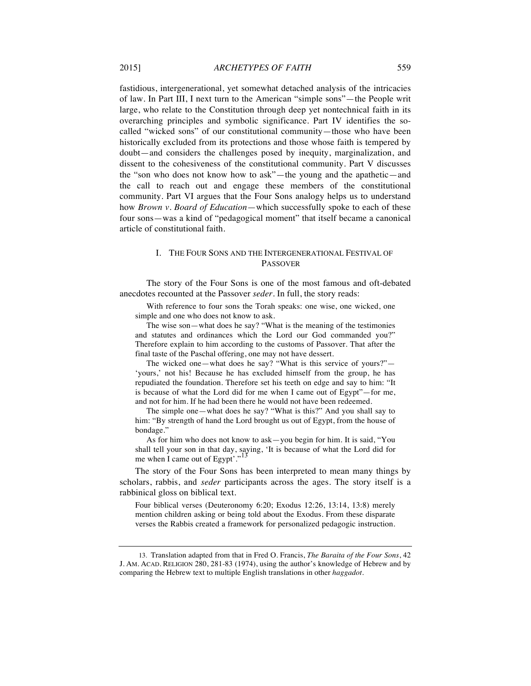fastidious, intergenerational, yet somewhat detached analysis of the intricacies of law. In Part III, I next turn to the American "simple sons"—the People writ large, who relate to the Constitution through deep yet nontechnical faith in its overarching principles and symbolic significance. Part IV identifies the socalled "wicked sons" of our constitutional community—those who have been historically excluded from its protections and those whose faith is tempered by doubt—and considers the challenges posed by inequity, marginalization, and dissent to the cohesiveness of the constitutional community. Part V discusses the "son who does not know how to ask"—the young and the apathetic—and the call to reach out and engage these members of the constitutional community. Part VI argues that the Four Sons analogy helps us to understand how *Brown v. Board of Education*—which successfully spoke to each of these four sons—was a kind of "pedagogical moment" that itself became a canonical article of constitutional faith.

### I. THE FOUR SONS AND THE INTERGENERATIONAL FESTIVAL OF PASSOVER

The story of the Four Sons is one of the most famous and oft-debated anecdotes recounted at the Passover *seder*. In full, the story reads:

With reference to four sons the Torah speaks: one wise, one wicked, one simple and one who does not know to ask.

The wise son—what does he say? "What is the meaning of the testimonies and statutes and ordinances which the Lord our God commanded you?" Therefore explain to him according to the customs of Passover. That after the final taste of the Paschal offering, one may not have dessert.

The wicked one—what does he say? "What is this service of yours?"— 'yours,' not his! Because he has excluded himself from the group, he has repudiated the foundation. Therefore set his teeth on edge and say to him: "It is because of what the Lord did for me when I came out of Egypt"—for me, and not for him. If he had been there he would not have been redeemed.

The simple one—what does he say? "What is this?" And you shall say to him: "By strength of hand the Lord brought us out of Egypt, from the house of bondage."

As for him who does not know to ask—you begin for him. It is said, "You shall tell your son in that day, saying, 'It is because of what the Lord did for me when I came out of Egypt'."

The story of the Four Sons has been interpreted to mean many things by scholars, rabbis, and *seder* participants across the ages. The story itself is a rabbinical gloss on biblical text.

Four biblical verses (Deuteronomy 6:20; Exodus 12:26, 13:14, 13:8) merely mention children asking or being told about the Exodus. From these disparate verses the Rabbis created a framework for personalized pedagogic instruction.

<sup>13.</sup> Translation adapted from that in Fred O. Francis, *The Baraita of the Four Sons*, 42 J. AM. ACAD. RELIGION 280, 281-83 (1974), using the author's knowledge of Hebrew and by comparing the Hebrew text to multiple English translations in other *haggadot*.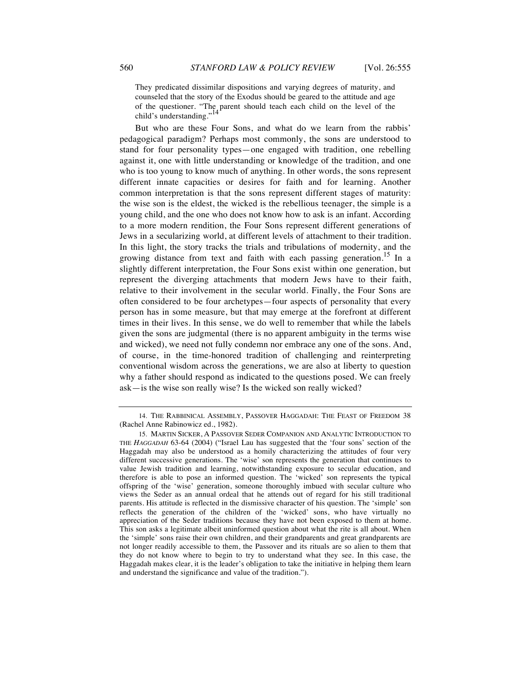They predicated dissimilar dispositions and varying degrees of maturity, and counseled that the story of the Exodus should be geared to the attitude and age of the questioner. "The parent should teach each child on the level of the  $\text{child}$  and artending  $\frac{1}{4}$ child's understanding."

But who are these Four Sons, and what do we learn from the rabbis' pedagogical paradigm? Perhaps most commonly, the sons are understood to stand for four personality types—one engaged with tradition, one rebelling against it, one with little understanding or knowledge of the tradition, and one who is too young to know much of anything. In other words, the sons represent different innate capacities or desires for faith and for learning. Another common interpretation is that the sons represent different stages of maturity: the wise son is the eldest, the wicked is the rebellious teenager, the simple is a young child, and the one who does not know how to ask is an infant. According to a more modern rendition, the Four Sons represent different generations of Jews in a secularizing world, at different levels of attachment to their tradition. In this light, the story tracks the trials and tribulations of modernity, and the growing distance from text and faith with each passing generation.<sup>15</sup> In a slightly different interpretation, the Four Sons exist within one generation, but represent the diverging attachments that modern Jews have to their faith, relative to their involvement in the secular world. Finally, the Four Sons are often considered to be four archetypes—four aspects of personality that every person has in some measure, but that may emerge at the forefront at different times in their lives. In this sense, we do well to remember that while the labels given the sons are judgmental (there is no apparent ambiguity in the terms wise and wicked), we need not fully condemn nor embrace any one of the sons. And, of course, in the time-honored tradition of challenging and reinterpreting conventional wisdom across the generations, we are also at liberty to question why a father should respond as indicated to the questions posed. We can freely ask—is the wise son really wise? Is the wicked son really wicked?

<sup>14.</sup> THE RABBINICAL ASSEMBLY, PASSOVER HAGGADAH: THE FEAST OF FREEDOM 38 (Rachel Anne Rabinowicz ed., 1982).

<sup>15.</sup> MARTIN SICKER, A PASSOVER SEDER COMPANION AND ANALYTIC INTRODUCTION TO THE *HAGGADAH* 63-64 (2004) ("Israel Lau has suggested that the 'four sons' section of the Haggadah may also be understood as a homily characterizing the attitudes of four very different successive generations. The 'wise' son represents the generation that continues to value Jewish tradition and learning, notwithstanding exposure to secular education, and therefore is able to pose an informed question. The 'wicked' son represents the typical offspring of the 'wise' generation, someone thoroughly imbued with secular culture who views the Seder as an annual ordeal that he attends out of regard for his still traditional parents. His attitude is reflected in the dismissive character of his question. The 'simple' son reflects the generation of the children of the 'wicked' sons, who have virtually no appreciation of the Seder traditions because they have not been exposed to them at home. This son asks a legitimate albeit uninformed question about what the rite is all about. When the 'simple' sons raise their own children, and their grandparents and great grandparents are not longer readily accessible to them, the Passover and its rituals are so alien to them that they do not know where to begin to try to understand what they see. In this case, the Haggadah makes clear, it is the leader's obligation to take the initiative in helping them learn and understand the significance and value of the tradition.").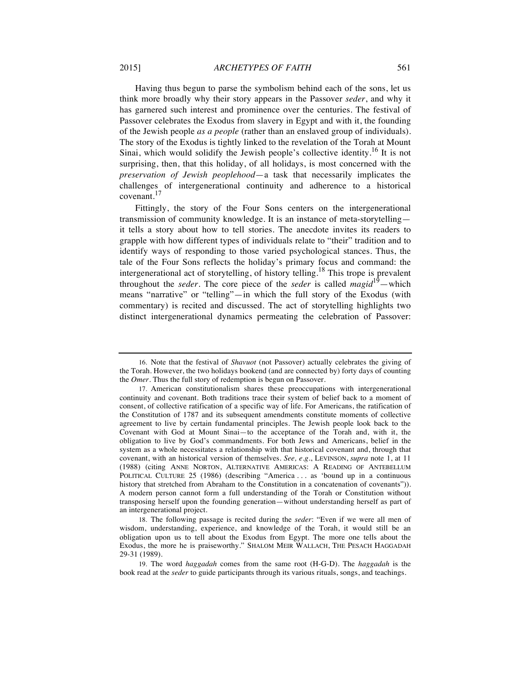Having thus begun to parse the symbolism behind each of the sons, let us think more broadly why their story appears in the Passover *seder*, and why it has garnered such interest and prominence over the centuries. The festival of Passover celebrates the Exodus from slavery in Egypt and with it, the founding of the Jewish people *as a people* (rather than an enslaved group of individuals). The story of the Exodus is tightly linked to the revelation of the Torah at Mount Sinai, which would solidify the Jewish people's collective identity.<sup>16</sup> It is not surprising, then, that this holiday, of all holidays, is most concerned with the *preservation of Jewish peoplehood*—a task that necessarily implicates the challenges of intergenerational continuity and adherence to a historical covenant.<sup>17</sup>

Fittingly, the story of the Four Sons centers on the intergenerational transmission of community knowledge. It is an instance of meta-storytelling it tells a story about how to tell stories. The anecdote invites its readers to grapple with how different types of individuals relate to "their" tradition and to identify ways of responding to those varied psychological stances. Thus, the tale of the Four Sons reflects the holiday's primary focus and command: the intergenerational act of storytelling, of history telling.<sup>18</sup> This trope is prevalent throughout the *seder*. The core piece of the *seder* is called *magid*19—which means "narrative" or "telling"—in which the full story of the Exodus (with commentary) is recited and discussed. The act of storytelling highlights two distinct intergenerational dynamics permeating the celebration of Passover:

<sup>16.</sup> Note that the festival of *Shavuot* (not Passover) actually celebrates the giving of the Torah. However, the two holidays bookend (and are connected by) forty days of counting the *Omer*. Thus the full story of redemption is begun on Passover.

<sup>17.</sup> American constitutionalism shares these preoccupations with intergenerational continuity and covenant. Both traditions trace their system of belief back to a moment of consent, of collective ratification of a specific way of life. For Americans, the ratification of the Constitution of 1787 and its subsequent amendments constitute moments of collective agreement to live by certain fundamental principles. The Jewish people look back to the Covenant with God at Mount Sinai—to the acceptance of the Torah and, with it, the obligation to live by God's commandments. For both Jews and Americans, belief in the system as a whole necessitates a relationship with that historical covenant and, through that covenant, with an historical version of themselves. *See, e.g.*, LEVINSON, *supra* note 1, at 11 (1988) (citing ANNE NORTON, ALTERNATIVE AMERICAS: A READING OF ANTEBELLUM POLITICAL CULTURE 25 (1986) (describing "America ... as 'bound up in a continuous history that stretched from Abraham to the Constitution in a concatenation of covenants")). A modern person cannot form a full understanding of the Torah or Constitution without transposing herself upon the founding generation—without understanding herself as part of an intergenerational project.

<sup>18.</sup> The following passage is recited during the *seder*: "Even if we were all men of wisdom, understanding, experience, and knowledge of the Torah, it would still be an obligation upon us to tell about the Exodus from Egypt. The more one tells about the Exodus, the more he is praiseworthy." SHALOM MEIR WALLACH, THE PESACH HAGGADAH 29-31 (1989).

<sup>19.</sup> The word *haggadah* comes from the same root (H-G-D). The *haggadah* is the book read at the *seder* to guide participants through its various rituals, songs, and teachings.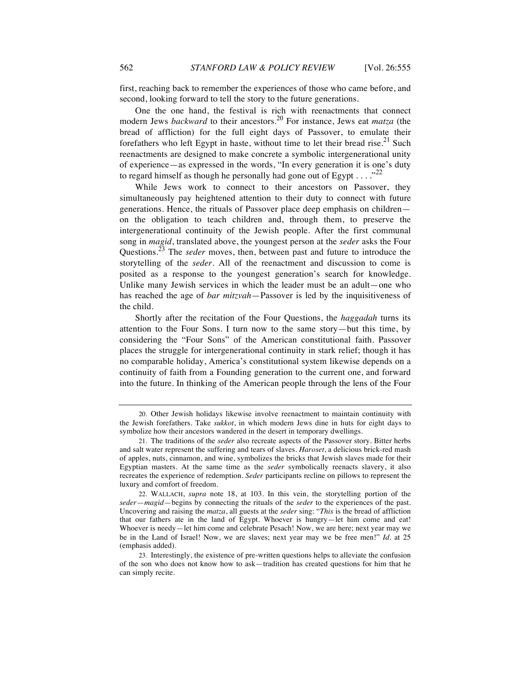first, reaching back to remember the experiences of those who came before, and second, looking forward to tell the story to the future generations.

One the one hand, the festival is rich with reenactments that connect modern Jews *backward* to their ancestors.<sup>20</sup> For instance, Jews eat *matza* (the bread of affliction) for the full eight days of Passover, to emulate their forefathers who left Egypt in haste, without time to let their bread rise.<sup>21</sup> Such reenactments are designed to make concrete a symbolic intergenerational unity of experience—as expressed in the words, "In every generation it is one's duty to regard himself as though he personally had gone out of Egypt  $\dots$ ."<sup>22</sup>

While Jews work to connect to their ancestors on Passover, they simultaneously pay heightened attention to their duty to connect with future generations. Hence, the rituals of Passover place deep emphasis on children on the obligation to teach children and, through them, to preserve the intergenerational continuity of the Jewish people. After the first communal song in *magid*, translated above, the youngest person at the *seder* asks the Four Questions.<sup>23</sup> The *seder* moves, then, between past and future to introduce the storytelling of the *seder*. All of the reenactment and discussion to come is posited as a response to the youngest generation's search for knowledge. Unlike many Jewish services in which the leader must be an adult—one who has reached the age of *bar mitzvah*—Passover is led by the inquisitiveness of the child.

Shortly after the recitation of the Four Questions, the *haggadah* turns its attention to the Four Sons. I turn now to the same story—but this time, by considering the "Four Sons" of the American constitutional faith. Passover places the struggle for intergenerational continuity in stark relief; though it has no comparable holiday, America's constitutional system likewise depends on a continuity of faith from a Founding generation to the current one, and forward into the future. In thinking of the American people through the lens of the Four

<sup>20.</sup> Other Jewish holidays likewise involve reenactment to maintain continuity with the Jewish forefathers. Take *sukkot*, in which modern Jews dine in huts for eight days to symbolize how their ancestors wandered in the desert in temporary dwellings.

<sup>21.</sup> The traditions of the *seder* also recreate aspects of the Passover story. Bitter herbs and salt water represent the suffering and tears of slaves. *Haroset*, a delicious brick-red mash of apples, nuts, cinnamon, and wine, symbolizes the bricks that Jewish slaves made for their Egyptian masters. At the same time as the *seder* symbolically reenacts slavery, it also recreates the experience of redemption. *Seder* participants recline on pillows to represent the luxury and comfort of freedom.

<sup>22.</sup> WALLACH, *supra* note 18, at 103. In this vein, the storytelling portion of the *seder*—*magid*—begins by connecting the rituals of the *seder* to the experiences of the past. Uncovering and raising the *matza*, all guests at the *seder* sing: "*This* is the bread of affliction that our fathers ate in the land of Egypt. Whoever is hungry—let him come and eat! Whoever is needy—let him come and celebrate Pesach! Now, we are here; next year may we be in the Land of Israel! Now, we are slaves; next year may we be free men!" *Id.* at 25 (emphasis added).

<sup>23.</sup> Interestingly, the existence of pre-written questions helps to alleviate the confusion of the son who does not know how to ask—tradition has created questions for him that he can simply recite.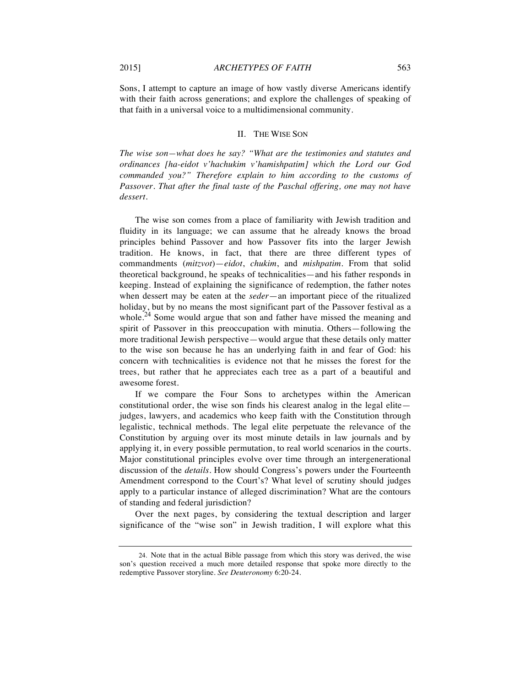Sons, I attempt to capture an image of how vastly diverse Americans identify with their faith across generations; and explore the challenges of speaking of that faith in a universal voice to a multidimensional community.

#### II. THE WISE SON

*The wise son—what does he say? "What are the testimonies and statutes and ordinances [ha-eidot v'hachukim v'hamishpatim] which the Lord our God commanded you?" Therefore explain to him according to the customs of Passover. That after the final taste of the Paschal offering, one may not have dessert.* 

The wise son comes from a place of familiarity with Jewish tradition and fluidity in its language; we can assume that he already knows the broad principles behind Passover and how Passover fits into the larger Jewish tradition. He knows, in fact, that there are three different types of commandments (*mitzvot*)—*eidot*, *chukim*, and *mishpatim*. From that solid theoretical background, he speaks of technicalities—and his father responds in keeping. Instead of explaining the significance of redemption, the father notes when dessert may be eaten at the *seder*—an important piece of the ritualized holiday, but by no means the most significant part of the Passover festival as a whole.<sup>24</sup> Some would argue that son and father have missed the meaning and spirit of Passover in this preoccupation with minutia. Others—following the more traditional Jewish perspective—would argue that these details only matter to the wise son because he has an underlying faith in and fear of God: his concern with technicalities is evidence not that he misses the forest for the trees, but rather that he appreciates each tree as a part of a beautiful and awesome forest.

If we compare the Four Sons to archetypes within the American constitutional order, the wise son finds his clearest analog in the legal elite judges, lawyers, and academics who keep faith with the Constitution through legalistic, technical methods. The legal elite perpetuate the relevance of the Constitution by arguing over its most minute details in law journals and by applying it, in every possible permutation, to real world scenarios in the courts. Major constitutional principles evolve over time through an intergenerational discussion of the *details*. How should Congress's powers under the Fourteenth Amendment correspond to the Court's? What level of scrutiny should judges apply to a particular instance of alleged discrimination? What are the contours of standing and federal jurisdiction?

Over the next pages, by considering the textual description and larger significance of the "wise son" in Jewish tradition, I will explore what this

<sup>24.</sup> Note that in the actual Bible passage from which this story was derived, the wise son's question received a much more detailed response that spoke more directly to the redemptive Passover storyline. *See Deuteronomy* 6:20-24.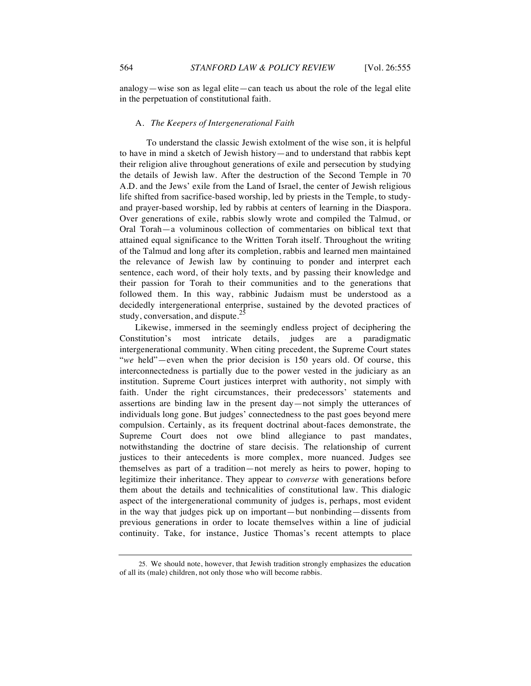analogy—wise son as legal elite—can teach us about the role of the legal elite in the perpetuation of constitutional faith.

#### A. *The Keepers of Intergenerational Faith*

To understand the classic Jewish extolment of the wise son, it is helpful to have in mind a sketch of Jewish history—and to understand that rabbis kept their religion alive throughout generations of exile and persecution by studying the details of Jewish law. After the destruction of the Second Temple in 70 A.D. and the Jews' exile from the Land of Israel, the center of Jewish religious life shifted from sacrifice-based worship, led by priests in the Temple, to studyand prayer-based worship, led by rabbis at centers of learning in the Diaspora. Over generations of exile, rabbis slowly wrote and compiled the Talmud, or Oral Torah—a voluminous collection of commentaries on biblical text that attained equal significance to the Written Torah itself. Throughout the writing of the Talmud and long after its completion, rabbis and learned men maintained the relevance of Jewish law by continuing to ponder and interpret each sentence, each word, of their holy texts, and by passing their knowledge and their passion for Torah to their communities and to the generations that followed them. In this way, rabbinic Judaism must be understood as a decidedly intergenerational enterprise, sustained by the devoted practices of study, conversation, and dispute.<sup>25</sup>

Likewise, immersed in the seemingly endless project of deciphering the Constitution's most intricate details, judges are a paradigmatic intergenerational community. When citing precedent, the Supreme Court states "*we* held"—even when the prior decision is 150 years old. Of course, this interconnectedness is partially due to the power vested in the judiciary as an institution. Supreme Court justices interpret with authority, not simply with faith. Under the right circumstances, their predecessors' statements and assertions are binding law in the present day—not simply the utterances of individuals long gone. But judges' connectedness to the past goes beyond mere compulsion. Certainly, as its frequent doctrinal about-faces demonstrate, the Supreme Court does not owe blind allegiance to past mandates, notwithstanding the doctrine of stare decisis. The relationship of current justices to their antecedents is more complex, more nuanced. Judges see themselves as part of a tradition—not merely as heirs to power, hoping to legitimize their inheritance. They appear to *converse* with generations before them about the details and technicalities of constitutional law. This dialogic aspect of the intergenerational community of judges is, perhaps, most evident in the way that judges pick up on important—but nonbinding—dissents from previous generations in order to locate themselves within a line of judicial continuity. Take, for instance, Justice Thomas's recent attempts to place

<sup>25.</sup> We should note, however, that Jewish tradition strongly emphasizes the education of all its (male) children, not only those who will become rabbis.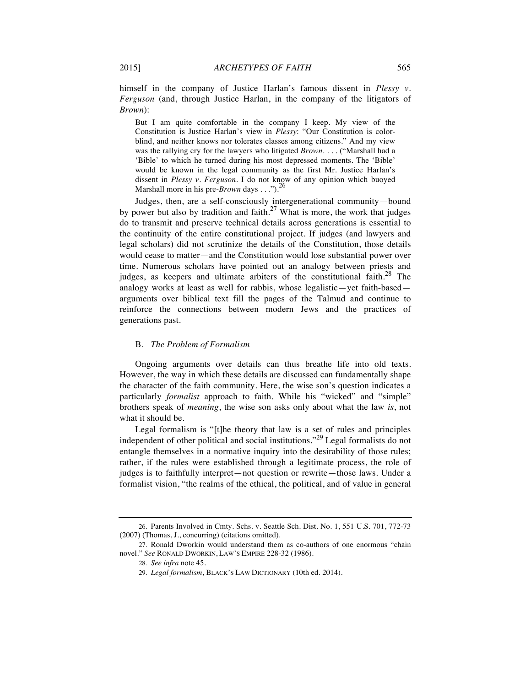himself in the company of Justice Harlan's famous dissent in *Plessy v. Ferguson* (and, through Justice Harlan, in the company of the litigators of *Brown*):

But I am quite comfortable in the company I keep. My view of the Constitution is Justice Harlan's view in *Plessy*: "Our Constitution is colorblind, and neither knows nor tolerates classes among citizens." And my view was the rallying cry for the lawyers who litigated *Brown*. *. . .* ("Marshall had a 'Bible' to which he turned during his most depressed moments. The 'Bible' would be known in the legal community as the first Mr. Justice Harlan's dissent in *Plessy v. Ferguson*. I do not know of any opinion which buoyed Marshall more in his pre-*Brown* days . . .").<sup>26</sup>

Judges, then, are a self-consciously intergenerational community—bound by power but also by tradition and faith.<sup>27</sup> What is more, the work that judges do to transmit and preserve technical details across generations is essential to the continuity of the entire constitutional project. If judges (and lawyers and legal scholars) did not scrutinize the details of the Constitution, those details would cease to matter—and the Constitution would lose substantial power over time. Numerous scholars have pointed out an analogy between priests and judges, as keepers and ultimate arbiters of the constitutional faith. $28$  The analogy works at least as well for rabbis, whose legalistic—yet faith-based arguments over biblical text fill the pages of the Talmud and continue to reinforce the connections between modern Jews and the practices of generations past.

#### B. *The Problem of Formalism*

Ongoing arguments over details can thus breathe life into old texts. However, the way in which these details are discussed can fundamentally shape the character of the faith community. Here, the wise son's question indicates a particularly *formalist* approach to faith. While his "wicked" and "simple" brothers speak of *meaning*, the wise son asks only about what the law *is*, not what it should be.

Legal formalism is "[t]he theory that law is a set of rules and principles independent of other political and social institutions."<sup>29</sup> Legal formalists do not entangle themselves in a normative inquiry into the desirability of those rules; rather, if the rules were established through a legitimate process, the role of judges is to faithfully interpret—not question or rewrite—those laws. Under a formalist vision, "the realms of the ethical, the political, and of value in general

<sup>26.</sup> Parents Involved in Cmty. Schs. v. Seattle Sch. Dist. No. 1, 551 U.S. 701, 772-73 (2007) (Thomas, J., concurring) (citations omitted).

<sup>27.</sup> Ronald Dworkin would understand them as co-authors of one enormous "chain novel." *See* RONALD DWORKIN, LAW'S EMPIRE 228-32 (1986).

<sup>28.</sup> *See infra* note 45.

<sup>29.</sup> *Legal formalism*, BLACK'S LAW DICTIONARY (10th ed. 2014).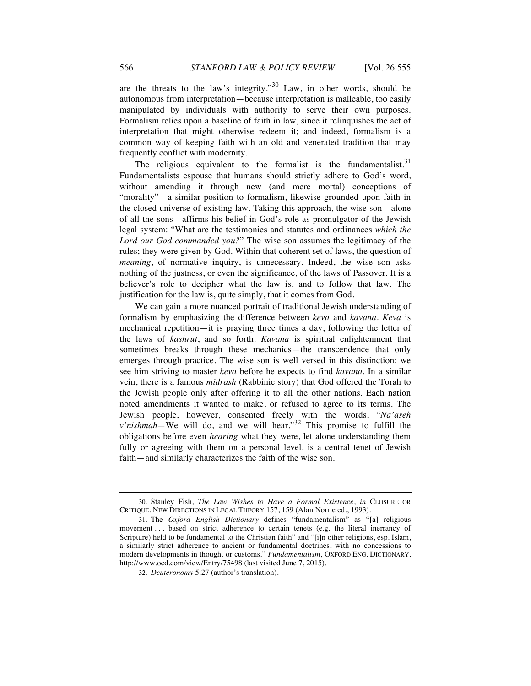are the threats to the law's integrity."<sup>30</sup> Law, in other words, should be autonomous from interpretation—because interpretation is malleable, too easily manipulated by individuals with authority to serve their own purposes. Formalism relies upon a baseline of faith in law, since it relinquishes the act of interpretation that might otherwise redeem it; and indeed, formalism is a common way of keeping faith with an old and venerated tradition that may frequently conflict with modernity.

The religious equivalent to the formalist is the fundamentalist. $31$ Fundamentalists espouse that humans should strictly adhere to God's word, without amending it through new (and mere mortal) conceptions of "morality"—a similar position to formalism, likewise grounded upon faith in the closed universe of existing law. Taking this approach, the wise son—alone of all the sons—affirms his belief in God's role as promulgator of the Jewish legal system: "What are the testimonies and statutes and ordinances *which the Lord our God commanded you?*" The wise son assumes the legitimacy of the rules; they were given by God. Within that coherent set of laws, the question of *meaning*, of normative inquiry, is unnecessary. Indeed, the wise son asks nothing of the justness, or even the significance, of the laws of Passover. It is a believer's role to decipher what the law is, and to follow that law. The justification for the law is, quite simply, that it comes from God.

We can gain a more nuanced portrait of traditional Jewish understanding of formalism by emphasizing the difference between *keva* and *kavana*. *Keva* is mechanical repetition—it is praying three times a day, following the letter of the laws of *kashrut*, and so forth. *Kavana* is spiritual enlightenment that sometimes breaks through these mechanics—the transcendence that only emerges through practice. The wise son is well versed in this distinction; we see him striving to master *keva* before he expects to find *kavana*. In a similar vein, there is a famous *midrash* (Rabbinic story) that God offered the Torah to the Jewish people only after offering it to all the other nations. Each nation noted amendments it wanted to make, or refused to agree to its terms. The Jewish people, however, consented freely with the words, "*Na'aseh v'nishmah*—We will do, and we will hear.<sup>32</sup> This promise to fulfill the obligations before even *hearing* what they were, let alone understanding them fully or agreeing with them on a personal level, is a central tenet of Jewish faith—and similarly characterizes the faith of the wise son.

<sup>30.</sup> Stanley Fish, *The Law Wishes to Have a Formal Existence*, *in* CLOSURE OR CRITIQUE: NEW DIRECTIONS IN LEGAL THEORY 157, 159 (Alan Norrie ed., 1993).

<sup>31.</sup> The *Oxford English Dictionary* defines "fundamentalism" as "[a] religious movement . . . based on strict adherence to certain tenets (e.g. the literal inerrancy of Scripture) held to be fundamental to the Christian faith" and "[i]n other religions, esp. Islam, a similarly strict adherence to ancient or fundamental doctrines, with no concessions to modern developments in thought or customs." *Fundamentalism*, OXFORD ENG. DICTIONARY, http://www.oed.com/view/Entry/75498 (last visited June 7, 2015).

<sup>32.</sup> *Deuteronomy* 5:27 (author's translation).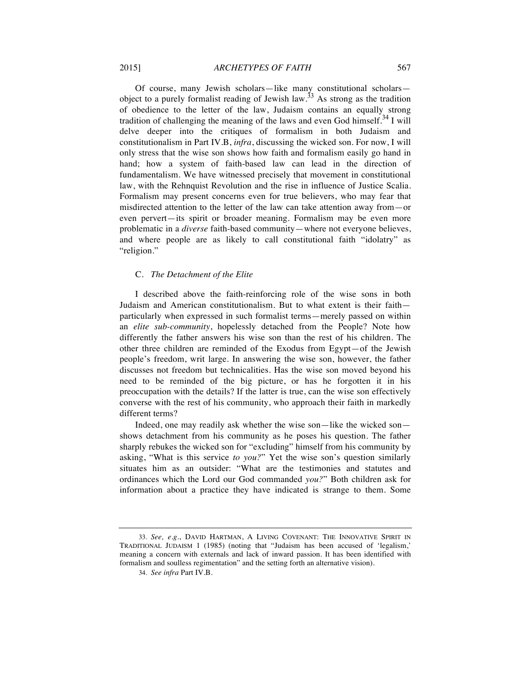Of course, many Jewish scholars—like many constitutional scholars object to a purely formalist reading of Jewish law.<sup>33</sup> As strong as the tradition of obedience to the letter of the law, Judaism contains an equally strong tradition of challenging the meaning of the laws and even God himself.<sup>34</sup> I will delve deeper into the critiques of formalism in both Judaism and constitutionalism in Part IV.B, *infra*, discussing the wicked son. For now, I will only stress that the wise son shows how faith and formalism easily go hand in hand; how a system of faith-based law can lead in the direction of fundamentalism. We have witnessed precisely that movement in constitutional law, with the Rehnquist Revolution and the rise in influence of Justice Scalia. Formalism may present concerns even for true believers, who may fear that misdirected attention to the letter of the law can take attention away from—or even pervert—its spirit or broader meaning. Formalism may be even more problematic in a *diverse* faith-based community—where not everyone believes, and where people are as likely to call constitutional faith "idolatry" as "religion."

#### C. *The Detachment of the Elite*

I described above the faith-reinforcing role of the wise sons in both Judaism and American constitutionalism. But to what extent is their faith particularly when expressed in such formalist terms—merely passed on within an *elite sub-community*, hopelessly detached from the People? Note how differently the father answers his wise son than the rest of his children. The other three children are reminded of the Exodus from Egypt—of the Jewish people's freedom, writ large. In answering the wise son, however, the father discusses not freedom but technicalities. Has the wise son moved beyond his need to be reminded of the big picture, or has he forgotten it in his preoccupation with the details? If the latter is true, can the wise son effectively converse with the rest of his community, who approach their faith in markedly different terms?

Indeed, one may readily ask whether the wise son—like the wicked son shows detachment from his community as he poses his question. The father sharply rebukes the wicked son for "excluding" himself from his community by asking, "What is this service *to you?*" Yet the wise son's question similarly situates him as an outsider: "What are the testimonies and statutes and ordinances which the Lord our God commanded *you?*" Both children ask for information about a practice they have indicated is strange to them. Some

<sup>33.</sup> *See, e.g.*, DAVID HARTMAN, A LIVING COVENANT: THE INNOVATIVE SPIRIT IN TRADITIONAL JUDAISM 1 (1985) (noting that "Judaism has been accused of 'legalism,' meaning a concern with externals and lack of inward passion. It has been identified with formalism and soulless regimentation" and the setting forth an alternative vision).

<sup>34.</sup> *See infra* Part IV.B.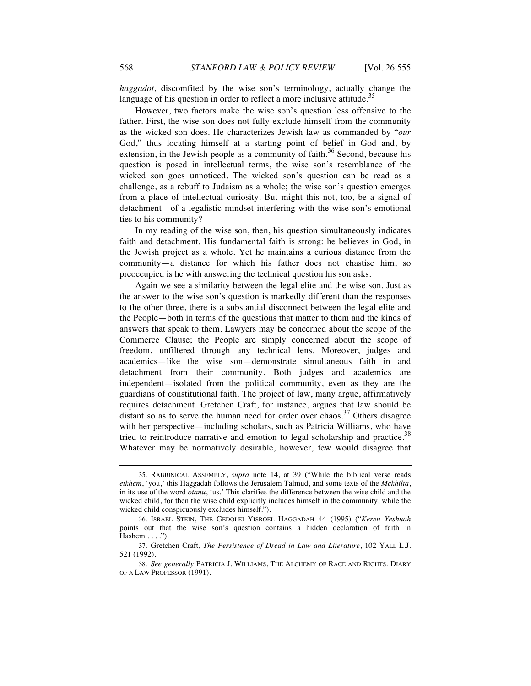*haggadot*, discomfited by the wise son's terminology, actually change the language of his question in order to reflect a more inclusive attitude.<sup>35</sup>

However, two factors make the wise son's question less offensive to the father. First, the wise son does not fully exclude himself from the community as the wicked son does. He characterizes Jewish law as commanded by "*our*  God," thus locating himself at a starting point of belief in God and, by extension, in the Jewish people as a community of faith.<sup>36</sup> Second, because his question is posed in intellectual terms, the wise son's resemblance of the wicked son goes unnoticed. The wicked son's question can be read as a challenge, as a rebuff to Judaism as a whole; the wise son's question emerges from a place of intellectual curiosity. But might this not, too, be a signal of detachment—of a legalistic mindset interfering with the wise son's emotional ties to his community?

In my reading of the wise son, then, his question simultaneously indicates faith and detachment. His fundamental faith is strong: he believes in God, in the Jewish project as a whole. Yet he maintains a curious distance from the community—a distance for which his father does not chastise him, so preoccupied is he with answering the technical question his son asks.

Again we see a similarity between the legal elite and the wise son. Just as the answer to the wise son's question is markedly different than the responses to the other three, there is a substantial disconnect between the legal elite and the People—both in terms of the questions that matter to them and the kinds of answers that speak to them. Lawyers may be concerned about the scope of the Commerce Clause; the People are simply concerned about the scope of freedom, unfiltered through any technical lens. Moreover, judges and academics—like the wise son—demonstrate simultaneous faith in and detachment from their community. Both judges and academics are independent—isolated from the political community, even as they are the guardians of constitutional faith. The project of law, many argue, affirmatively requires detachment. Gretchen Craft, for instance, argues that law should be distant so as to serve the human need for order over chaos.<sup>37</sup> Others disagree with her perspective—including scholars, such as Patricia Williams, who have tried to reintroduce narrative and emotion to legal scholarship and practice.<sup>38</sup> Whatever may be normatively desirable, however, few would disagree that

<sup>35.</sup> RABBINICAL ASSEMBLY, *supra* note 14, at 39 ("While the biblical verse reads *etkhem*, 'you,' this Haggadah follows the Jerusalem Talmud, and some texts of the *Mekhilta*, in its use of the word *otanu*, 'us.' This clarifies the difference between the wise child and the wicked child, for then the wise child explicitly includes himself in the community, while the wicked child conspicuously excludes himself.").

<sup>36.</sup> ISRAEL STEIN, THE GEDOLEI YISROEL HAGGADAH 44 (1995) ("*Keren Yeshuah* points out that the wise son's question contains a hidden declaration of faith in Hashem . . . .").

<sup>37.</sup> Gretchen Craft, *The Persistence of Dread in Law and Literature*, 102 YALE L.J. 521 (1992).

<sup>38.</sup> *See generally* PATRICIA J. WILLIAMS, THE ALCHEMY OF RACE AND RIGHTS: DIARY OF A LAW PROFESSOR (1991).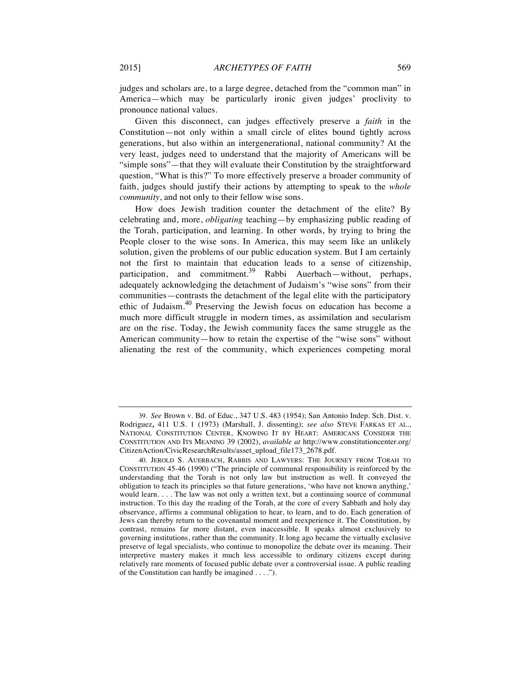judges and scholars are, to a large degree, detached from the "common man" in America—which may be particularly ironic given judges' proclivity to pronounce national values.

Given this disconnect, can judges effectively preserve a *faith* in the Constitution—not only within a small circle of elites bound tightly across generations, but also within an intergenerational, national community? At the very least, judges need to understand that the majority of Americans will be "simple sons"—that they will evaluate their Constitution by the straightforward question, "What is this?" To more effectively preserve a broader community of faith, judges should justify their actions by attempting to speak to the *whole community*, and not only to their fellow wise sons.

How does Jewish tradition counter the detachment of the elite? By celebrating and, more, *obligating* teaching—by emphasizing public reading of the Torah, participation, and learning. In other words, by trying to bring the People closer to the wise sons. In America, this may seem like an unlikely solution, given the problems of our public education system. But I am certainly not the first to maintain that education leads to a sense of citizenship, participation, and commitment.<sup>39</sup> Rabbi Auerbach—without, perhaps, adequately acknowledging the detachment of Judaism's "wise sons" from their communities—contrasts the detachment of the legal elite with the participatory ethic of Judaism.<sup>40</sup> Preserving the Jewish focus on education has become a much more difficult struggle in modern times, as assimilation and secularism are on the rise. Today, the Jewish community faces the same struggle as the American community—how to retain the expertise of the "wise sons" without alienating the rest of the community, which experiences competing moral

<sup>39.</sup> *See* Brown v. Bd. of Educ., 347 U.S. 483 (1954); San Antonio Indep. Sch. Dist. v. Rodriguez*,* 411 U.S. 1 (1973) (Marshall, J. dissenting); *see also* STEVE FARKAS ET AL., NATIONAL CONSTITUTION CENTER, KNOWING IT BY HEART: AMERICANS CONSIDER THE CONSTITUTION AND ITS MEANING 39 (2002), *available at* http://www.constitutioncenter.org/ CitizenAction/CivicResearchResults/asset\_upload\_file173\_2678.pdf.

<sup>40.</sup> JEROLD S. AUERBACH, RABBIS AND LAWYERS: THE JOURNEY FROM TORAH TO CONSTITUTION 45-46 (1990) ("The principle of communal responsibility is reinforced by the understanding that the Torah is not only law but instruction as well. It conveyed the obligation to teach its principles so that future generations, 'who have not known anything,' would learn. . . . The law was not only a written text, but a continuing source of communal instruction. To this day the reading of the Torah, at the core of every Sabbath and holy day observance, affirms a communal obligation to hear, to learn, and to do. Each generation of Jews can thereby return to the covenantal moment and reexperience it. The Constitution, by contrast, remains far more distant, even inaccessible. It speaks almost exclusively to governing institutions, rather than the community. It long ago became the virtually exclusive preserve of legal specialists, who continue to monopolize the debate over its meaning. Their interpretive mastery makes it much less accessible to ordinary citizens except during relatively rare moments of focused public debate over a controversial issue. A public reading of the Constitution can hardly be imagined . . . .").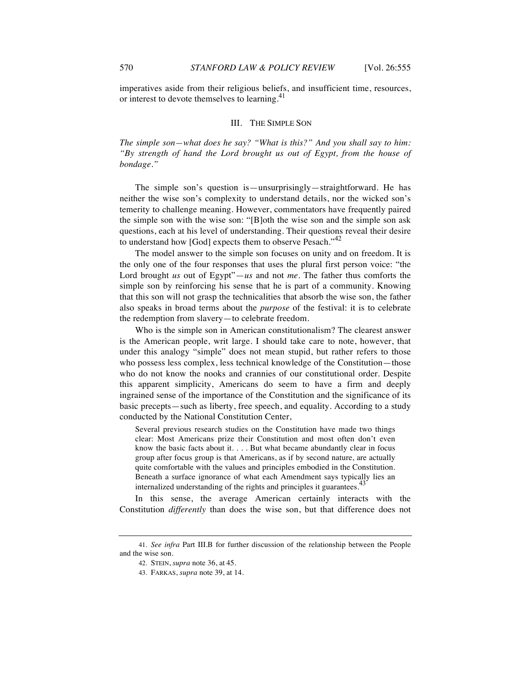imperatives aside from their religious beliefs, and insufficient time, resources, or interest to devote themselves to learning.<sup>41</sup>

#### III. THE SIMPLE SON

*The simple son—what does he say? "What is this?" And you shall say to him: "By strength of hand the Lord brought us out of Egypt, from the house of bondage."* 

The simple son's question is—unsurprisingly—straightforward. He has neither the wise son's complexity to understand details, nor the wicked son's temerity to challenge meaning. However, commentators have frequently paired the simple son with the wise son: "[B]oth the wise son and the simple son ask questions, each at his level of understanding. Their questions reveal their desire to understand how [God] expects them to observe Pesach."<sup>42</sup>

The model answer to the simple son focuses on unity and on freedom. It is the only one of the four responses that uses the plural first person voice: "the Lord brought *us* out of Egypt"—*us* and not *me*. The father thus comforts the simple son by reinforcing his sense that he is part of a community. Knowing that this son will not grasp the technicalities that absorb the wise son, the father also speaks in broad terms about the *purpose* of the festival: it is to celebrate the redemption from slavery—to celebrate freedom.

Who is the simple son in American constitutionalism? The clearest answer is the American people, writ large. I should take care to note, however, that under this analogy "simple" does not mean stupid, but rather refers to those who possess less complex, less technical knowledge of the Constitution—those who do not know the nooks and crannies of our constitutional order. Despite this apparent simplicity, Americans do seem to have a firm and deeply ingrained sense of the importance of the Constitution and the significance of its basic precepts—such as liberty, free speech, and equality. According to a study conducted by the National Constitution Center,

Several previous research studies on the Constitution have made two things clear: Most Americans prize their Constitution and most often don't even know the basic facts about it. . . . But what became abundantly clear in focus group after focus group is that Americans, as if by second nature, are actually quite comfortable with the values and principles embodied in the Constitution. Beneath a surface ignorance of what each Amendment says typically lies an internalized understanding of the rights and principles it guarantees.<sup>43</sup>

In this sense, the average American certainly interacts with the Constitution *differently* than does the wise son, but that difference does not

<sup>41.</sup> *See infra* Part III.B for further discussion of the relationship between the People and the wise son.

<sup>42.</sup> STEIN, *supra* note 36, at 45.

<sup>43.</sup> FARKAS, *supra* note 39, at 14.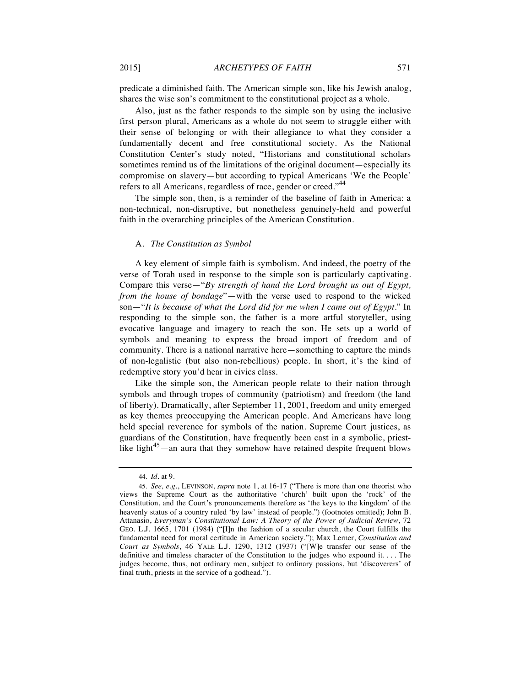predicate a diminished faith. The American simple son, like his Jewish analog, shares the wise son's commitment to the constitutional project as a whole.

Also, just as the father responds to the simple son by using the inclusive first person plural, Americans as a whole do not seem to struggle either with their sense of belonging or with their allegiance to what they consider a fundamentally decent and free constitutional society. As the National Constitution Center's study noted, "Historians and constitutional scholars sometimes remind us of the limitations of the original document—especially its compromise on slavery—but according to typical Americans 'We the People' refers to all Americans, regardless of race, gender or creed."<sup>44</sup>

The simple son, then, is a reminder of the baseline of faith in America: a non-technical, non-disruptive, but nonetheless genuinely-held and powerful faith in the overarching principles of the American Constitution.

#### A. *The Constitution as Symbol*

A key element of simple faith is symbolism. And indeed, the poetry of the verse of Torah used in response to the simple son is particularly captivating. Compare this verse—"*By strength of hand the Lord brought us out of Egypt, from the house of bondage*"—with the verse used to respond to the wicked son—"*It is because of what the Lord did for me when I came out of Egypt*." In responding to the simple son, the father is a more artful storyteller, using evocative language and imagery to reach the son. He sets up a world of symbols and meaning to express the broad import of freedom and of community. There is a national narrative here—something to capture the minds of non-legalistic (but also non-rebellious) people. In short, it's the kind of redemptive story you'd hear in civics class.

Like the simple son, the American people relate to their nation through symbols and through tropes of community (patriotism) and freedom (the land of liberty). Dramatically, after September 11, 2001, freedom and unity emerged as key themes preoccupying the American people. And Americans have long held special reverence for symbols of the nation. Supreme Court justices, as guardians of the Constitution, have frequently been cast in a symbolic, priestlike light<sup>45</sup>—an aura that they somehow have retained despite frequent blows

<sup>44.</sup> *Id.* at 9.

<sup>45.</sup> *See, e.g.*, LEVINSON, *supra* note 1, at 16-17 ("There is more than one theorist who views the Supreme Court as the authoritative 'church' built upon the 'rock' of the Constitution, and the Court's pronouncements therefore as 'the keys to the kingdom' of the heavenly status of a country ruled 'by law' instead of people.") (footnotes omitted); John B. Attanasio, *Everyman's Constitutional Law: A Theory of the Power of Judicial Review*, 72 GEO. L.J. 1665, 1701 (1984) ("[I]n the fashion of a secular church, the Court fulfills the fundamental need for moral certitude in American society."); Max Lerner, *Constitution and Court as Symbols*, 46 YALE L.J. 1290, 1312 (1937) ("[W]e transfer our sense of the definitive and timeless character of the Constitution to the judges who expound it. . . . The judges become, thus, not ordinary men, subject to ordinary passions, but 'discoverers' of final truth, priests in the service of a godhead.").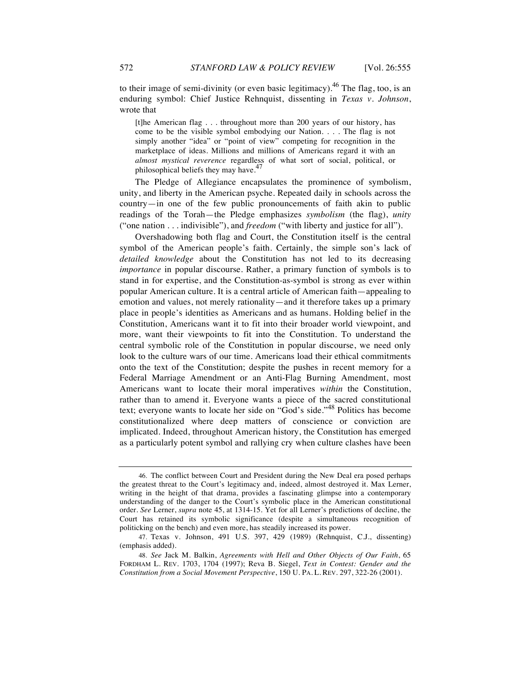to their image of semi-divinity (or even basic legitimacy).<sup>46</sup> The flag, too, is an enduring symbol: Chief Justice Rehnquist, dissenting in *Texas v. Johnson*, wrote that

[t]he American flag . . . throughout more than 200 years of our history, has come to be the visible symbol embodying our Nation. . . . The flag is not simply another "idea" or "point of view" competing for recognition in the marketplace of ideas. Millions and millions of Americans regard it with an *almost mystical reverence* regardless of what sort of social, political, or philosophical beliefs they may have.

The Pledge of Allegiance encapsulates the prominence of symbolism, unity, and liberty in the American psyche. Repeated daily in schools across the country—in one of the few public pronouncements of faith akin to public readings of the Torah—the Pledge emphasizes *symbolism* (the flag), *unity* ("one nation . . . indivisible"), and *freedom* ("with liberty and justice for all").

Overshadowing both flag and Court, the Constitution itself is the central symbol of the American people's faith. Certainly, the simple son's lack of *detailed knowledge* about the Constitution has not led to its decreasing *importance* in popular discourse. Rather, a primary function of symbols is to stand in for expertise, and the Constitution-as-symbol is strong as ever within popular American culture. It is a central article of American faith—appealing to emotion and values, not merely rationality—and it therefore takes up a primary place in people's identities as Americans and as humans. Holding belief in the Constitution, Americans want it to fit into their broader world viewpoint, and more, want their viewpoints to fit into the Constitution. To understand the central symbolic role of the Constitution in popular discourse, we need only look to the culture wars of our time. Americans load their ethical commitments onto the text of the Constitution; despite the pushes in recent memory for a Federal Marriage Amendment or an Anti-Flag Burning Amendment, most Americans want to locate their moral imperatives *within* the Constitution, rather than to amend it. Everyone wants a piece of the sacred constitutional text; everyone wants to locate her side on "God's side."<sup>48</sup> Politics has become constitutionalized where deep matters of conscience or conviction are implicated. Indeed, throughout American history, the Constitution has emerged as a particularly potent symbol and rallying cry when culture clashes have been

<sup>46.</sup> The conflict between Court and President during the New Deal era posed perhaps the greatest threat to the Court's legitimacy and, indeed, almost destroyed it. Max Lerner, writing in the height of that drama, provides a fascinating glimpse into a contemporary understanding of the danger to the Court's symbolic place in the American constitutional order. *See* Lerner, *supra* note 45, at 1314-15. Yet for all Lerner's predictions of decline, the Court has retained its symbolic significance (despite a simultaneous recognition of politicking on the bench) and even more, has steadily increased its power.

<sup>47.</sup> Texas v. Johnson, 491 U.S. 397, 429 (1989) (Rehnquist, C.J., dissenting) (emphasis added).

<sup>48.</sup> *See* Jack M. Balkin, *Agreements with Hell and Other Objects of Our Faith*, 65 FORDHAM L. REV. 1703, 1704 (1997); Reva B. Siegel, *Text in Contest: Gender and the Constitution from a Social Movement Perspective*, 150 U. PA. L. REV. 297, 322-26 (2001).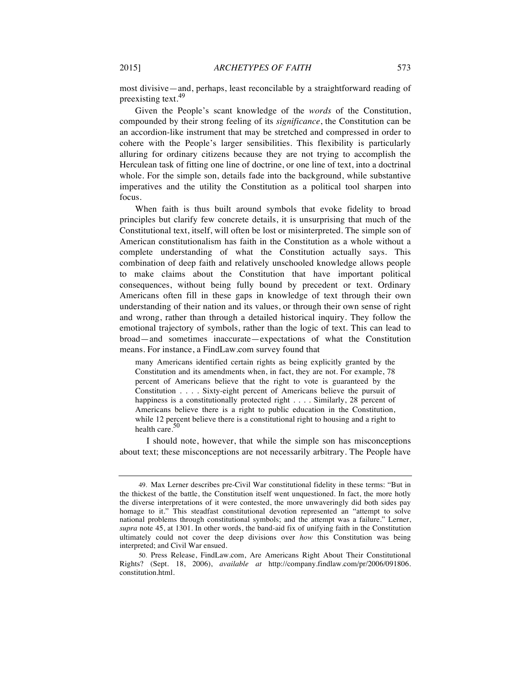most divisive—and, perhaps, least reconcilable by a straightforward reading of preexisting text.<sup>49</sup>

Given the People's scant knowledge of the *words* of the Constitution, compounded by their strong feeling of its *significance*, the Constitution can be an accordion-like instrument that may be stretched and compressed in order to cohere with the People's larger sensibilities. This flexibility is particularly alluring for ordinary citizens because they are not trying to accomplish the Herculean task of fitting one line of doctrine, or one line of text, into a doctrinal whole. For the simple son, details fade into the background, while substantive imperatives and the utility the Constitution as a political tool sharpen into focus.

When faith is thus built around symbols that evoke fidelity to broad principles but clarify few concrete details, it is unsurprising that much of the Constitutional text, itself, will often be lost or misinterpreted. The simple son of American constitutionalism has faith in the Constitution as a whole without a complete understanding of what the Constitution actually says. This combination of deep faith and relatively unschooled knowledge allows people to make claims about the Constitution that have important political consequences, without being fully bound by precedent or text. Ordinary Americans often fill in these gaps in knowledge of text through their own understanding of their nation and its values, or through their own sense of right and wrong, rather than through a detailed historical inquiry. They follow the emotional trajectory of symbols, rather than the logic of text. This can lead to broad—and sometimes inaccurate—expectations of what the Constitution means. For instance, a FindLaw.com survey found that

many Americans identified certain rights as being explicitly granted by the Constitution and its amendments when, in fact, they are not. For example, 78 percent of Americans believe that the right to vote is guaranteed by the Constitution . . . . Sixty-eight percent of Americans believe the pursuit of happiness is a constitutionally protected right . . . . Similarly, 28 percent of Americans believe there is a right to public education in the Constitution, while 12 percent believe there is a constitutional right to housing and a right to health care. $50$ 

I should note, however, that while the simple son has misconceptions about text; these misconceptions are not necessarily arbitrary. The People have

<sup>49.</sup> Max Lerner describes pre-Civil War constitutional fidelity in these terms: "But in the thickest of the battle, the Constitution itself went unquestioned. In fact, the more hotly the diverse interpretations of it were contested, the more unwaveringly did both sides pay homage to it." This steadfast constitutional devotion represented an "attempt to solve national problems through constitutional symbols; and the attempt was a failure." Lerner, *supra* note 45, at 1301. In other words, the band-aid fix of unifying faith in the Constitution ultimately could not cover the deep divisions over *how* this Constitution was being interpreted; and Civil War ensued.

<sup>50.</sup> Press Release, FindLaw.com, Are Americans Right About Their Constitutional Rights? (Sept. 18, 2006), *available at* http://company.findlaw.com/pr/2006/091806. constitution.html.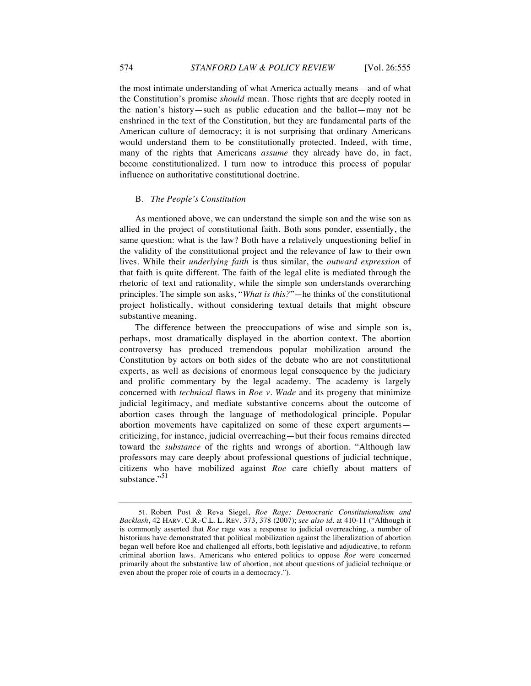the most intimate understanding of what America actually means—and of what the Constitution's promise *should* mean. Those rights that are deeply rooted in the nation's history—such as public education and the ballot—may not be enshrined in the text of the Constitution, but they are fundamental parts of the American culture of democracy; it is not surprising that ordinary Americans would understand them to be constitutionally protected. Indeed, with time, many of the rights that Americans *assume* they already have do, in fact, become constitutionalized. I turn now to introduce this process of popular influence on authoritative constitutional doctrine.

#### B. *The People's Constitution*

As mentioned above, we can understand the simple son and the wise son as allied in the project of constitutional faith. Both sons ponder, essentially, the same question: what is the law? Both have a relatively unquestioning belief in the validity of the constitutional project and the relevance of law to their own lives. While their *underlying faith* is thus similar, the *outward expression* of that faith is quite different. The faith of the legal elite is mediated through the rhetoric of text and rationality, while the simple son understands overarching principles. The simple son asks, "*What is this?*"*—*he thinks of the constitutional project holistically, without considering textual details that might obscure substantive meaning.

The difference between the preoccupations of wise and simple son is, perhaps, most dramatically displayed in the abortion context. The abortion controversy has produced tremendous popular mobilization around the Constitution by actors on both sides of the debate who are not constitutional experts, as well as decisions of enormous legal consequence by the judiciary and prolific commentary by the legal academy. The academy is largely concerned with *technical* flaws in *Roe v. Wade* and its progeny that minimize judicial legitimacy, and mediate substantive concerns about the outcome of abortion cases through the language of methodological principle. Popular abortion movements have capitalized on some of these expert arguments criticizing, for instance, judicial overreaching—but their focus remains directed toward the *substance* of the rights and wrongs of abortion. "Although law professors may care deeply about professional questions of judicial technique, citizens who have mobilized against *Roe* care chiefly about matters of substance."<sup>51</sup>

<sup>51.</sup> Robert Post & Reva Siegel, *Roe Rage: Democratic Constitutionalism and Backlash*, 42 HARV. C.R.-C.L. L. REV. 373, 378 (2007); *see also id.* at 410-11 ("Although it is commonly asserted that *Roe* rage was a response to judicial overreaching, a number of historians have demonstrated that political mobilization against the liberalization of abortion began well before Roe and challenged all efforts, both legislative and adjudicative, to reform criminal abortion laws. Americans who entered politics to oppose *Roe* were concerned primarily about the substantive law of abortion, not about questions of judicial technique or even about the proper role of courts in a democracy.").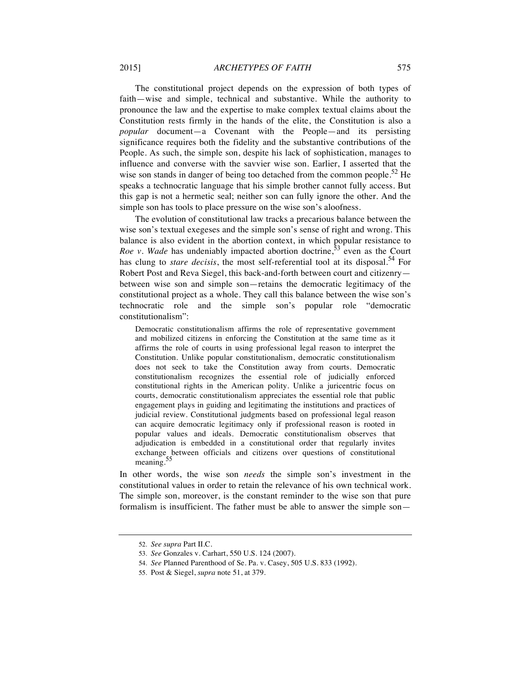The constitutional project depends on the expression of both types of faith—wise and simple, technical and substantive. While the authority to pronounce the law and the expertise to make complex textual claims about the Constitution rests firmly in the hands of the elite, the Constitution is also a *popular* document—a Covenant with the People—and its persisting significance requires both the fidelity and the substantive contributions of the People. As such, the simple son, despite his lack of sophistication, manages to influence and converse with the savvier wise son. Earlier, I asserted that the wise son stands in danger of being too detached from the common people.<sup>52</sup> He speaks a technocratic language that his simple brother cannot fully access. But this gap is not a hermetic seal; neither son can fully ignore the other. And the simple son has tools to place pressure on the wise son's aloofness.

The evolution of constitutional law tracks a precarious balance between the wise son's textual exegeses and the simple son's sense of right and wrong. This balance is also evident in the abortion context, in which popular resistance to *Roe v. Wade* has undeniably impacted abortion doctrine,<sup>53</sup> even as the Court has clung to *stare decisis*, the most self-referential tool at its disposal.<sup>54</sup> For Robert Post and Reva Siegel, this back-and-forth between court and citizenry between wise son and simple son—retains the democratic legitimacy of the constitutional project as a whole. They call this balance between the wise son's technocratic role and the simple son's popular role "democratic constitutionalism":

Democratic constitutionalism affirms the role of representative government and mobilized citizens in enforcing the Constitution at the same time as it affirms the role of courts in using professional legal reason to interpret the Constitution. Unlike popular constitutionalism, democratic constitutionalism does not seek to take the Constitution away from courts. Democratic constitutionalism recognizes the essential role of judicially enforced constitutional rights in the American polity. Unlike a juricentric focus on courts, democratic constitutionalism appreciates the essential role that public engagement plays in guiding and legitimating the institutions and practices of judicial review. Constitutional judgments based on professional legal reason can acquire democratic legitimacy only if professional reason is rooted in popular values and ideals. Democratic constitutionalism observes that adjudication is embedded in a constitutional order that regularly invites exchange between officials and citizens over questions of constitutional meaning.<sup>55</sup>

In other words, the wise son *needs* the simple son's investment in the constitutional values in order to retain the relevance of his own technical work. The simple son, moreover, is the constant reminder to the wise son that pure formalism is insufficient. The father must be able to answer the simple son—

<sup>52.</sup> *See supra* Part II.C.

<sup>53.</sup> *See* Gonzales v. Carhart, 550 U.S. 124 (2007).

<sup>54.</sup> *See* Planned Parenthood of Se. Pa. v. Casey, 505 U.S. 833 (1992).

<sup>55.</sup> Post & Siegel, *supra* note 51, at 379.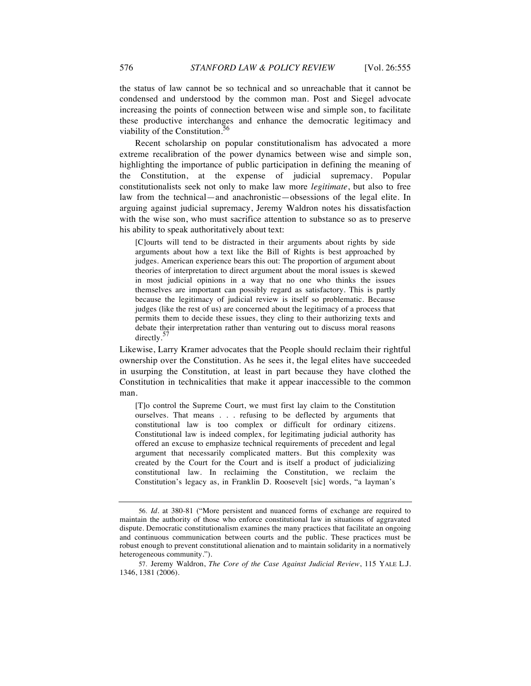the status of law cannot be so technical and so unreachable that it cannot be condensed and understood by the common man. Post and Siegel advocate increasing the points of connection between wise and simple son, to facilitate these productive interchanges and enhance the democratic legitimacy and viability of the Constitution.<sup>56</sup>

Recent scholarship on popular constitutionalism has advocated a more extreme recalibration of the power dynamics between wise and simple son, highlighting the importance of public participation in defining the meaning of the Constitution, at the expense of judicial supremacy. Popular constitutionalists seek not only to make law more *legitimate*, but also to free law from the technical—and anachronistic—obsessions of the legal elite. In arguing against judicial supremacy, Jeremy Waldron notes his dissatisfaction with the wise son, who must sacrifice attention to substance so as to preserve his ability to speak authoritatively about text:

[C]ourts will tend to be distracted in their arguments about rights by side arguments about how a text like the Bill of Rights is best approached by judges. American experience bears this out: The proportion of argument about theories of interpretation to direct argument about the moral issues is skewed in most judicial opinions in a way that no one who thinks the issues themselves are important can possibly regard as satisfactory. This is partly because the legitimacy of judicial review is itself so problematic. Because judges (like the rest of us) are concerned about the legitimacy of a process that permits them to decide these issues, they cling to their authorizing texts and debate their interpretation rather than venturing out to discuss moral reasons directly.<sup>5</sup>

Likewise, Larry Kramer advocates that the People should reclaim their rightful ownership over the Constitution. As he sees it, the legal elites have succeeded in usurping the Constitution, at least in part because they have clothed the Constitution in technicalities that make it appear inaccessible to the common man.

[T]o control the Supreme Court, we must first lay claim to the Constitution ourselves. That means . . . refusing to be deflected by arguments that constitutional law is too complex or difficult for ordinary citizens. Constitutional law is indeed complex, for legitimating judicial authority has offered an excuse to emphasize technical requirements of precedent and legal argument that necessarily complicated matters. But this complexity was created by the Court for the Court and is itself a product of judicializing constitutional law. In reclaiming the Constitution, we reclaim the Constitution's legacy as, in Franklin D. Roosevelt [sic] words, "a layman's

<sup>56.</sup> *Id.* at 380-81 ("More persistent and nuanced forms of exchange are required to maintain the authority of those who enforce constitutional law in situations of aggravated dispute. Democratic constitutionalism examines the many practices that facilitate an ongoing and continuous communication between courts and the public. These practices must be robust enough to prevent constitutional alienation and to maintain solidarity in a normatively heterogeneous community.").

<sup>57.</sup> Jeremy Waldron, *The Core of the Case Against Judicial Review*, 115 YALE L.J. 1346, 1381 (2006).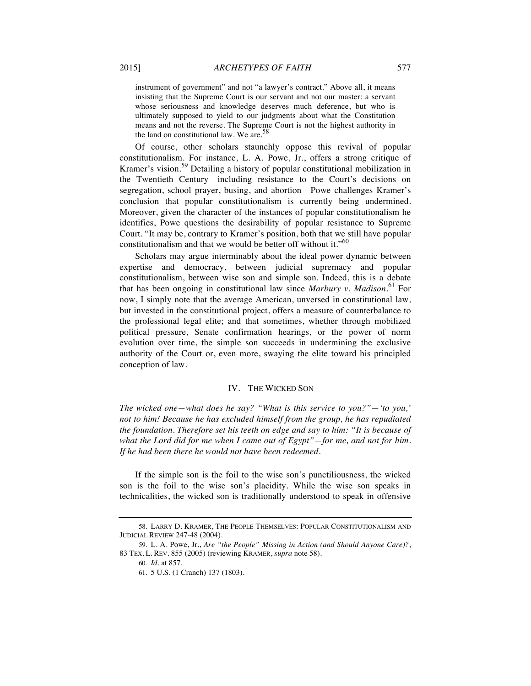instrument of government" and not "a lawyer's contract." Above all, it means insisting that the Supreme Court is our servant and not our master: a servant whose seriousness and knowledge deserves much deference, but who is ultimately supposed to yield to our judgments about what the Constitution means and not the reverse. The Supreme Court is not the highest authority in the land on constitutional law. We are. $58$ 

Of course, other scholars staunchly oppose this revival of popular constitutionalism. For instance, L. A. Powe, Jr., offers a strong critique of Kramer's vision.<sup>59</sup> Detailing a history of popular constitutional mobilization in the Twentieth Century—including resistance to the Court's decisions on segregation, school prayer, busing, and abortion—Powe challenges Kramer's conclusion that popular constitutionalism is currently being undermined. Moreover, given the character of the instances of popular constitutionalism he identifies, Powe questions the desirability of popular resistance to Supreme Court. "It may be, contrary to Kramer's position, both that we still have popular constitutionalism and that we would be better off without it."<sup>60</sup>

Scholars may argue interminably about the ideal power dynamic between expertise and democracy, between judicial supremacy and popular constitutionalism, between wise son and simple son. Indeed, this is a debate that has been ongoing in constitutional law since *Marbury v. Madison*. <sup>61</sup> For now, I simply note that the average American, unversed in constitutional law, but invested in the constitutional project, offers a measure of counterbalance to the professional legal elite; and that sometimes, whether through mobilized political pressure, Senate confirmation hearings, or the power of norm evolution over time, the simple son succeeds in undermining the exclusive authority of the Court or, even more, swaying the elite toward his principled conception of law.

#### IV. THE WICKED SON

*The wicked one—what does he say? "What is this service to you?"—'to you,' not to him! Because he has excluded himself from the group, he has repudiated the foundation. Therefore set his teeth on edge and say to him: "It is because of what the Lord did for me when I came out of Egypt"—for me, and not for him. If he had been there he would not have been redeemed.*

If the simple son is the foil to the wise son's punctiliousness, the wicked son is the foil to the wise son's placidity. While the wise son speaks in technicalities, the wicked son is traditionally understood to speak in offensive

<sup>58.</sup> LARRY D. KRAMER, THE PEOPLE THEMSELVES: POPULAR CONSTITUTIONALISM AND JUDICIAL REVIEW 247-48 (2004).

<sup>59.</sup> L. A. Powe, Jr., *Are "the People" Missing in Action (and Should Anyone Care)?*, 83 TEX. L. REV. 855 (2005) (reviewing KRAMER, *supra* note 58).

<sup>60.</sup> *Id*. at 857.

<sup>61.</sup> 5 U.S. (1 Cranch) 137 (1803).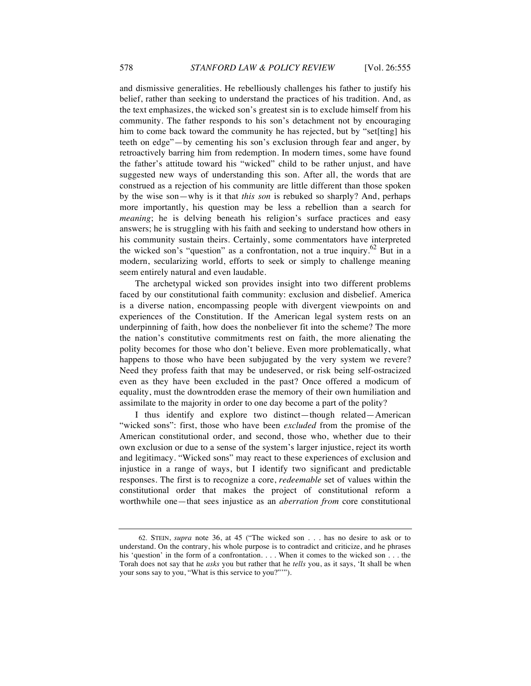and dismissive generalities. He rebelliously challenges his father to justify his belief, rather than seeking to understand the practices of his tradition. And, as the text emphasizes, the wicked son's greatest sin is to exclude himself from his community. The father responds to his son's detachment not by encouraging him to come back toward the community he has rejected, but by "set[ting] his teeth on edge"—by cementing his son's exclusion through fear and anger, by retroactively barring him from redemption. In modern times, some have found the father's attitude toward his "wicked" child to be rather unjust, and have suggested new ways of understanding this son. After all, the words that are construed as a rejection of his community are little different than those spoken by the wise son—why is it that *this son* is rebuked so sharply? And, perhaps more importantly, his question may be less a rebellion than a search for *meaning*; he is delving beneath his religion's surface practices and easy answers; he is struggling with his faith and seeking to understand how others in his community sustain theirs. Certainly, some commentators have interpreted the wicked son's "question" as a confrontation, not a true inquiry.<sup>62</sup> But in a modern, secularizing world, efforts to seek or simply to challenge meaning seem entirely natural and even laudable.

The archetypal wicked son provides insight into two different problems faced by our constitutional faith community: exclusion and disbelief. America is a diverse nation, encompassing people with divergent viewpoints on and experiences of the Constitution. If the American legal system rests on an underpinning of faith, how does the nonbeliever fit into the scheme? The more the nation's constitutive commitments rest on faith, the more alienating the polity becomes for those who don't believe. Even more problematically, what happens to those who have been subjugated by the very system we revere? Need they profess faith that may be undeserved, or risk being self-ostracized even as they have been excluded in the past? Once offered a modicum of equality, must the downtrodden erase the memory of their own humiliation and assimilate to the majority in order to one day become a part of the polity?

I thus identify and explore two distinct—though related—American "wicked sons": first, those who have been *excluded* from the promise of the American constitutional order, and second, those who, whether due to their own exclusion or due to a sense of the system's larger injustice, reject its worth and legitimacy. "Wicked sons" may react to these experiences of exclusion and injustice in a range of ways, but I identify two significant and predictable responses. The first is to recognize a core, *redeemable* set of values within the constitutional order that makes the project of constitutional reform a worthwhile one—that sees injustice as an *aberration from* core constitutional

<sup>62.</sup> STEIN, *supra* note 36, at 45 ("The wicked son . . . has no desire to ask or to understand. On the contrary, his whole purpose is to contradict and criticize, and he phrases his 'question' in the form of a confrontation. . . . When it comes to the wicked son . . . the Torah does not say that he *asks* you but rather that he *tells* you, as it says, 'It shall be when your sons say to you, "What is this service to you?"'").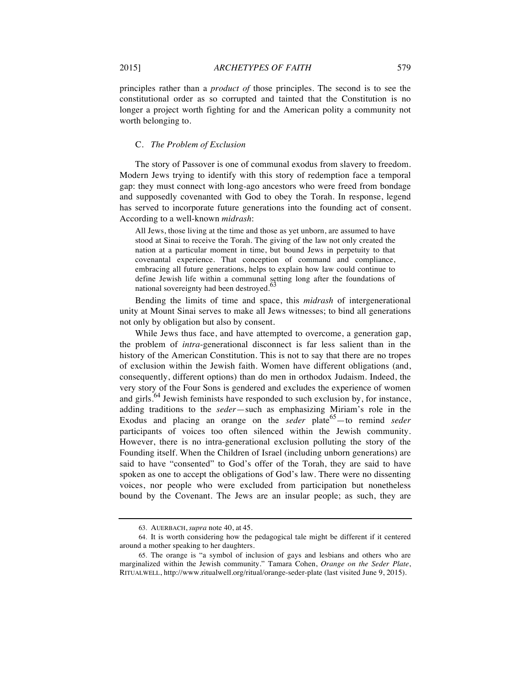principles rather than a *product of* those principles. The second is to see the constitutional order as so corrupted and tainted that the Constitution is no longer a project worth fighting for and the American polity a community not worth belonging to.

#### C. *The Problem of Exclusion*

The story of Passover is one of communal exodus from slavery to freedom. Modern Jews trying to identify with this story of redemption face a temporal gap: they must connect with long-ago ancestors who were freed from bondage and supposedly covenanted with God to obey the Torah. In response, legend has served to incorporate future generations into the founding act of consent. According to a well-known *midrash*:

All Jews, those living at the time and those as yet unborn, are assumed to have stood at Sinai to receive the Torah. The giving of the law not only created the nation at a particular moment in time, but bound Jews in perpetuity to that covenantal experience. That conception of command and compliance, embracing all future generations, helps to explain how law could continue to define Jewish life within a communal setting long after the foundations of national sovereignty had been destroyed.<sup>63</sup>

Bending the limits of time and space, this *midrash* of intergenerational unity at Mount Sinai serves to make all Jews witnesses; to bind all generations not only by obligation but also by consent.

While Jews thus face, and have attempted to overcome, a generation gap, the problem of *intra*-generational disconnect is far less salient than in the history of the American Constitution. This is not to say that there are no tropes of exclusion within the Jewish faith. Women have different obligations (and, consequently, different options) than do men in orthodox Judaism. Indeed, the very story of the Four Sons is gendered and excludes the experience of women and girls.<sup>64</sup> Jewish feminists have responded to such exclusion by, for instance, adding traditions to the *seder*—such as emphasizing Miriam's role in the Exodus and placing an orange on the *seder* plate<sup>65</sup>—to remind *seder* participants of voices too often silenced within the Jewish community. However, there is no intra-generational exclusion polluting the story of the Founding itself. When the Children of Israel (including unborn generations) are said to have "consented" to God's offer of the Torah, they are said to have spoken as one to accept the obligations of God's law. There were no dissenting voices, nor people who were excluded from participation but nonetheless bound by the Covenant. The Jews are an insular people; as such, they are

<sup>63.</sup> AUERBACH, *supra* note 40, at 45.

<sup>64.</sup> It is worth considering how the pedagogical tale might be different if it centered around a mother speaking to her daughters.

<sup>65.</sup> The orange is "a symbol of inclusion of gays and lesbians and others who are marginalized within the Jewish community." Tamara Cohen, *Orange on the Seder Plate*, RITUALWELL, http://www.ritualwell.org/ritual/orange-seder-plate (last visited June 9, 2015).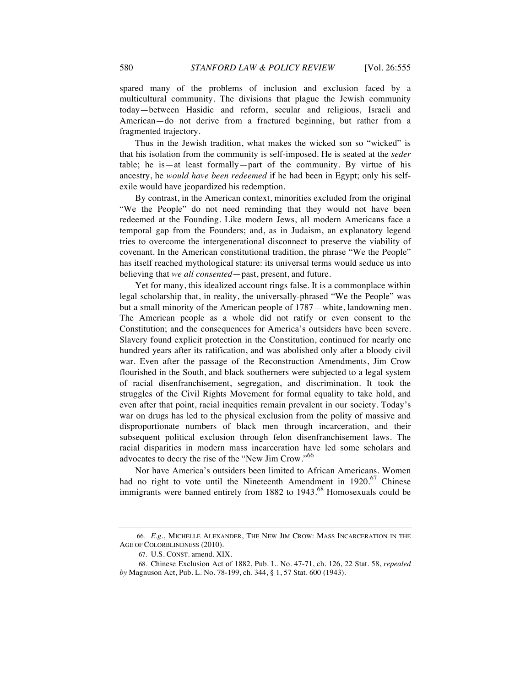Thus in the Jewish tradition, what makes the wicked son so "wicked" is that his isolation from the community is self-imposed. He is seated at the *seder* table; he is—at least formally—part of the community. By virtue of his ancestry, he *would have been redeemed* if he had been in Egypt; only his selfexile would have jeopardized his redemption.

By contrast, in the American context, minorities excluded from the original "We the People" do not need reminding that they would not have been redeemed at the Founding. Like modern Jews, all modern Americans face a temporal gap from the Founders; and, as in Judaism, an explanatory legend tries to overcome the intergenerational disconnect to preserve the viability of covenant. In the American constitutional tradition, the phrase "We the People" has itself reached mythological stature: its universal terms would seduce us into believing that *we all consented*—past, present, and future.

Yet for many, this idealized account rings false. It is a commonplace within legal scholarship that, in reality, the universally-phrased "We the People" was but a small minority of the American people of 1787—white, landowning men. The American people as a whole did not ratify or even consent to the Constitution; and the consequences for America's outsiders have been severe. Slavery found explicit protection in the Constitution, continued for nearly one hundred years after its ratification, and was abolished only after a bloody civil war. Even after the passage of the Reconstruction Amendments, Jim Crow flourished in the South, and black southerners were subjected to a legal system of racial disenfranchisement, segregation, and discrimination. It took the struggles of the Civil Rights Movement for formal equality to take hold, and even after that point, racial inequities remain prevalent in our society. Today's war on drugs has led to the physical exclusion from the polity of massive and disproportionate numbers of black men through incarceration, and their subsequent political exclusion through felon disenfranchisement laws. The racial disparities in modern mass incarceration have led some scholars and advocates to decry the rise of the "New Jim Crow."<sup>66</sup>

Nor have America's outsiders been limited to African Americans. Women had no right to vote until the Nineteenth Amendment in  $1920$ .<sup>67</sup> Chinese immigrants were banned entirely from 1882 to  $1943.^{68}$  Homosexuals could be

<sup>66.</sup> *E.g.*, MICHELLE ALEXANDER, THE NEW JIM CROW: MASS INCARCERATION IN THE AGE OF COLORBLINDNESS (2010).

<sup>67.</sup> U.S. CONST. amend. XIX.

<sup>68.</sup> Chinese Exclusion Act of 1882, Pub. L. No. 47-71, ch. 126, 22 Stat. 58, *repealed by* Magnuson Act, Pub. L. No. 78-199, ch. 344, § 1, 57 Stat. 600 (1943).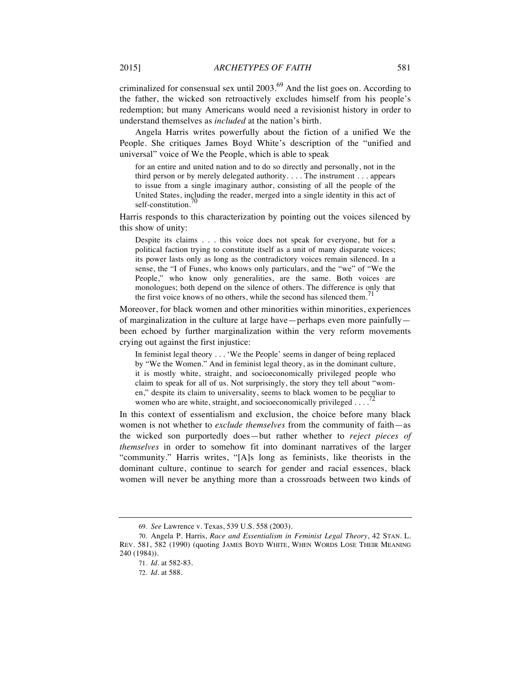criminalized for consensual sex until  $2003<sup>69</sup>$  And the list goes on. According to the father, the wicked son retroactively excludes himself from his people's redemption; but many Americans would need a revisionist history in order to understand themselves as *included* at the nation's birth.

Angela Harris writes powerfully about the fiction of a unified We the People. She critiques James Boyd White's description of the "unified and universal" voice of We the People, which is able to speak

for an entire and united nation and to do so directly and personally, not in the third person or by merely delegated authority. . . . The instrument . . . appears to issue from a single imaginary author, consisting of all the people of the United States, including the reader, merged into a single identity in this act of self-constitution.<sup>70</sup>

Harris responds to this characterization by pointing out the voices silenced by this show of unity:

Despite its claims . . . this voice does not speak for everyone, but for a political faction trying to constitute itself as a unit of many disparate voices; its power lasts only as long as the contradictory voices remain silenced. In a sense, the "I of Funes, who knows only particulars, and the "we" of "We the People," who know only generalities, are the same. Both voices are monologues; both depend on the silence of others. The difference is only that the first voice knows of no others, while the second has silenced them.<sup>71</sup>

Moreover, for black women and other minorities within minorities, experiences of marginalization in the culture at large have—perhaps even more painfully been echoed by further marginalization within the very reform movements crying out against the first injustice:

In feminist legal theory . . . 'We the People' seems in danger of being replaced by "We the Women." And in feminist legal theory, as in the dominant culture, it is mostly white, straight, and socioeconomically privileged people who claim to speak for all of us. Not surprisingly, the story they tell about "women," despite its claim to universality, seems to black women to be peculiar to women who are white, straight, and socioeconomically privileged . . . .<sup>7</sup>

In this context of essentialism and exclusion, the choice before many black women is not whether to *exclude themselves* from the community of faith—as the wicked son purportedly does—but rather whether to *reject pieces of themselves* in order to somehow fit into dominant narratives of the larger "community." Harris writes, "[A]s long as feminists, like theorists in the dominant culture, continue to search for gender and racial essences, black women will never be anything more than a crossroads between two kinds of

<sup>69.</sup> *See* Lawrence v. Texas, 539 U.S. 558 (2003).

<sup>70.</sup> Angela P. Harris, *Race and Essentialism in Feminist Legal Theory*, 42 STAN. L. REV. 581, 582 (1990) (quoting JAMES BOYD WHITE, WHEN WORDS LOSE THEIR MEANING 240 (1984)).

<sup>71.</sup> *Id.* at 582-83.

<sup>72.</sup> *Id.* at 588.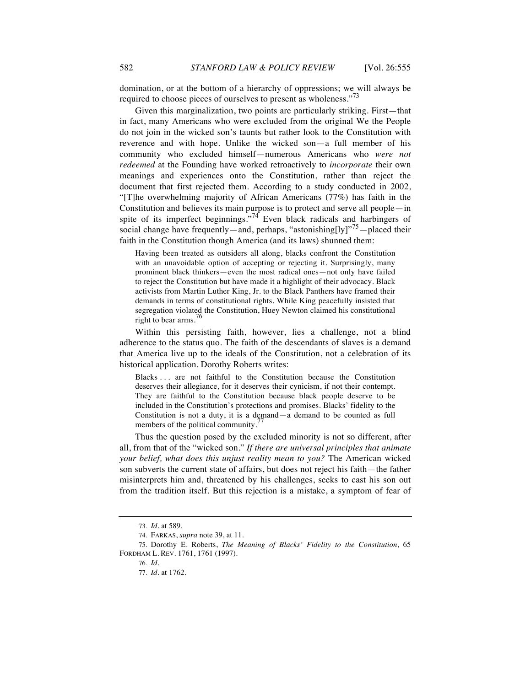domination, or at the bottom of a hierarchy of oppressions; we will always be required to choose pieces of ourselves to present as wholeness."<sup>13</sup>

Given this marginalization, two points are particularly striking. First—that in fact, many Americans who were excluded from the original We the People do not join in the wicked son's taunts but rather look to the Constitution with reverence and with hope. Unlike the wicked son—a full member of his community who excluded himself—numerous Americans who *were not redeemed* at the Founding have worked retroactively to *incorporate* their own meanings and experiences onto the Constitution, rather than reject the document that first rejected them. According to a study conducted in 2002, "[T]he overwhelming majority of African Americans (77%) has faith in the Constitution and believes its main purpose is to protect and serve all people—in spite of its imperfect beginnings."<sup>74</sup> Even black radicals and harbingers of social change have frequently—and, perhaps, "astonishing[ly]"<sup>75</sup>—placed their faith in the Constitution though America (and its laws) shunned them:

Having been treated as outsiders all along, blacks confront the Constitution with an unavoidable option of accepting or rejecting it. Surprisingly, many prominent black thinkers—even the most radical ones—not only have failed to reject the Constitution but have made it a highlight of their advocacy. Black activists from Martin Luther King, Jr. to the Black Panthers have framed their demands in terms of constitutional rights. While King peacefully insisted that segregation violated the Constitution, Huey Newton claimed his constitutional right to bear arms.<sup>76</sup>

Within this persisting faith, however, lies a challenge, not a blind adherence to the status quo. The faith of the descendants of slaves is a demand that America live up to the ideals of the Constitution, not a celebration of its historical application. Dorothy Roberts writes:

Blacks . . . are not faithful to the Constitution because the Constitution deserves their allegiance, for it deserves their cynicism, if not their contempt. They are faithful to the Constitution because black people deserve to be included in the Constitution's protections and promises. Blacks' fidelity to the Constitution is not a duty, it is a demand—a demand to be counted as full members of the political community.<sup>77</sup>

Thus the question posed by the excluded minority is not so different, after all, from that of the "wicked son." *If there are universal principles that animate your belief, what does this unjust reality mean to you?* The American wicked son subverts the current state of affairs, but does not reject his faith—the father misinterprets him and, threatened by his challenges, seeks to cast his son out from the tradition itself. But this rejection is a mistake, a symptom of fear of

<sup>73.</sup> *Id.* at 589.

<sup>74.</sup> FARKAS, *supra* note 39, at 11.

<sup>75.</sup> Dorothy E. Roberts, *The Meaning of Blacks' Fidelity to the Constitution*, 65 FORDHAM L. REV. 1761, 1761 (1997).

<sup>76.</sup> *Id.*

<sup>77.</sup> *Id.* at 1762.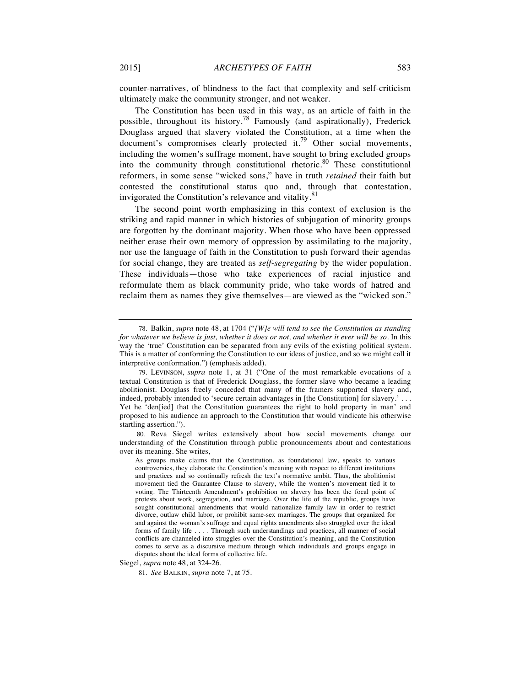counter-narratives, of blindness to the fact that complexity and self-criticism ultimately make the community stronger, and not weaker.

The Constitution has been used in this way, as an article of faith in the possible, throughout its history.<sup>78</sup> Famously (and aspirationally), Frederick Douglass argued that slavery violated the Constitution, at a time when the document's compromises clearly protected it.<sup>79</sup> Other social movements, including the women's suffrage moment, have sought to bring excluded groups into the community through constitutional rhetoric.<sup>80</sup> These constitutional reformers, in some sense "wicked sons," have in truth *retained* their faith but contested the constitutional status quo and, through that contestation, invigorated the Constitution's relevance and vitality.<sup>81</sup>

The second point worth emphasizing in this context of exclusion is the striking and rapid manner in which histories of subjugation of minority groups are forgotten by the dominant majority. When those who have been oppressed neither erase their own memory of oppression by assimilating to the majority, nor use the language of faith in the Constitution to push forward their agendas for social change, they are treated as *self-segregating* by the wider population. These individuals—those who take experiences of racial injustice and reformulate them as black community pride, who take words of hatred and reclaim them as names they give themselves—are viewed as the "wicked son."

Siegel, *supra* note 48, at 324-26.

<sup>78.</sup> Balkin, *supra* note 48, at 1704 ("*[W]e will tend to see the Constitution as standing for whatever we believe is just, whether it does or not, and whether it ever will be so.* In this way the 'true' Constitution can be separated from any evils of the existing political system. This is a matter of conforming the Constitution to our ideas of justice, and so we might call it interpretive conformation.") (emphasis added).

<sup>79.</sup> LEVINSON, *supra* note 1, at 31 ("One of the most remarkable evocations of a textual Constitution is that of Frederick Douglass, the former slave who became a leading abolitionist. Douglass freely conceded that many of the framers supported slavery and, indeed, probably intended to 'secure certain advantages in [the Constitution] for slavery.' . . . Yet he 'den[ied] that the Constitution guarantees the right to hold property in man' and proposed to his audience an approach to the Constitution that would vindicate his otherwise startling assertion.").

<sup>80.</sup> Reva Siegel writes extensively about how social movements change our understanding of the Constitution through public pronouncements about and contestations over its meaning. She writes,

As groups make claims that the Constitution, as foundational law, speaks to various controversies, they elaborate the Constitution's meaning with respect to different institutions and practices and so continually refresh the text's normative ambit. Thus, the abolitionist movement tied the Guarantee Clause to slavery, while the women's movement tied it to voting. The Thirteenth Amendment's prohibition on slavery has been the focal point of protests about work, segregation, and marriage. Over the life of the republic, groups have sought constitutional amendments that would nationalize family law in order to restrict divorce, outlaw child labor, or prohibit same-sex marriages. The groups that organized for and against the woman's suffrage and equal rights amendments also struggled over the ideal forms of family life . . . . Through such understandings and practices, all manner of social conflicts are channeled into struggles over the Constitution's meaning, and the Constitution comes to serve as a discursive medium through which individuals and groups engage in disputes about the ideal forms of collective life.

<sup>81.</sup> *See* BALKIN, *supra* note 7, at 75.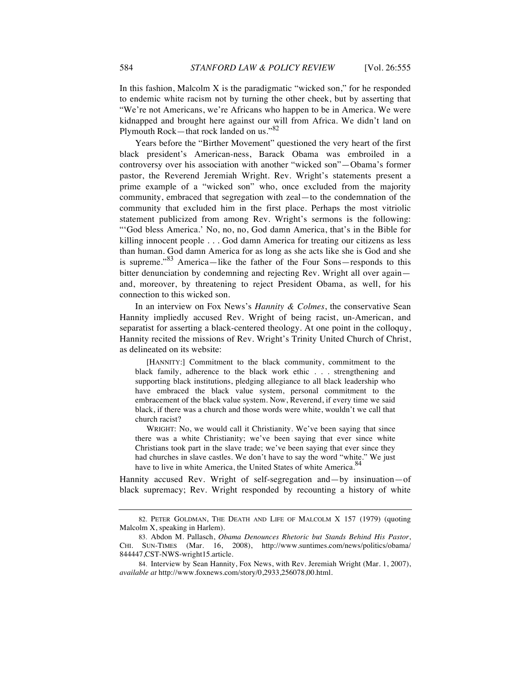In this fashion, Malcolm X is the paradigmatic "wicked son," for he responded to endemic white racism not by turning the other cheek, but by asserting that "We're not Americans, we're Africans who happen to be in America. We were kidnapped and brought here against our will from Africa. We didn't land on Plymouth Rock—that rock landed on us."<sup>82</sup>

Years before the "Birther Movement" questioned the very heart of the first black president's American-ness, Barack Obama was embroiled in a controversy over his association with another "wicked son"—Obama's former pastor, the Reverend Jeremiah Wright. Rev. Wright's statements present a prime example of a "wicked son" who, once excluded from the majority community, embraced that segregation with zeal—to the condemnation of the community that excluded him in the first place. Perhaps the most vitriolic statement publicized from among Rev. Wright's sermons is the following: "'God bless America.' No, no, no, God damn America, that's in the Bible for killing innocent people . . . God damn America for treating our citizens as less than human. God damn America for as long as she acts like she is God and she is supreme."<sup>83</sup> America—like the father of the Four Sons—responds to this bitter denunciation by condemning and rejecting Rev. Wright all over again and, moreover, by threatening to reject President Obama, as well, for his connection to this wicked son.

In an interview on Fox News's *Hannity & Colmes*, the conservative Sean Hannity impliedly accused Rev. Wright of being racist, un-American, and separatist for asserting a black-centered theology. At one point in the colloquy, Hannity recited the missions of Rev. Wright's Trinity United Church of Christ, as delineated on its website:

[HANNITY:] Commitment to the black community, commitment to the black family, adherence to the black work ethic . . . strengthening and supporting black institutions, pledging allegiance to all black leadership who have embraced the black value system, personal commitment to the embracement of the black value system. Now, Reverend, if every time we said black, if there was a church and those words were white, wouldn't we call that church racist?

WRIGHT: No, we would call it Christianity. We've been saying that since there was a white Christianity; we've been saying that ever since white Christians took part in the slave trade; we've been saying that ever since they had churches in slave castles. We don't have to say the word "white." We just have to live in white America, the United States of white America.<sup>84</sup>

Hannity accused Rev. Wright of self-segregation and—by insinuation—of black supremacy; Rev. Wright responded by recounting a history of white

<sup>82.</sup> PETER GOLDMAN, THE DEATH AND LIFE OF MALCOLM X 157 (1979) (quoting Malcolm X, speaking in Harlem).

<sup>83.</sup> Abdon M. Pallasch, *Obama Denounces Rhetoric but Stands Behind His Pastor*, CHI. SUN-TIMES (Mar. 16, 2008), http://www.suntimes.com/news/politics/obama/ 844447,CST-NWS-wright15.article.

<sup>84.</sup> Interview by Sean Hannity, Fox News, with Rev. Jeremiah Wright (Mar. 1, 2007), *available at* http://www.foxnews.com/story/0,2933,256078,00.html.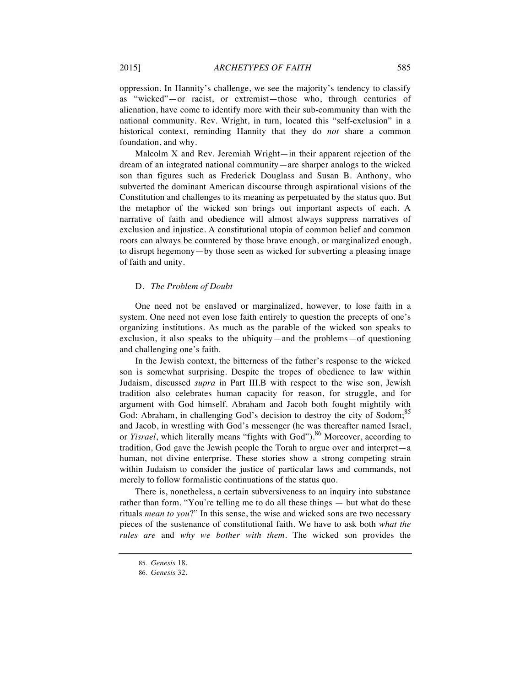oppression. In Hannity's challenge, we see the majority's tendency to classify as "wicked"—or racist, or extremist—those who, through centuries of alienation, have come to identify more with their sub-community than with the national community. Rev. Wright, in turn, located this "self-exclusion" in a historical context, reminding Hannity that they do *not* share a common foundation, and why.

Malcolm X and Rev. Jeremiah Wright—in their apparent rejection of the dream of an integrated national community—are sharper analogs to the wicked son than figures such as Frederick Douglass and Susan B. Anthony, who subverted the dominant American discourse through aspirational visions of the Constitution and challenges to its meaning as perpetuated by the status quo. But the metaphor of the wicked son brings out important aspects of each. A narrative of faith and obedience will almost always suppress narratives of exclusion and injustice. A constitutional utopia of common belief and common roots can always be countered by those brave enough, or marginalized enough, to disrupt hegemony—by those seen as wicked for subverting a pleasing image of faith and unity.

#### D. *The Problem of Doubt*

One need not be enslaved or marginalized, however, to lose faith in a system. One need not even lose faith entirely to question the precepts of one's organizing institutions. As much as the parable of the wicked son speaks to exclusion, it also speaks to the ubiquity—and the problems—of questioning and challenging one's faith.

In the Jewish context, the bitterness of the father's response to the wicked son is somewhat surprising. Despite the tropes of obedience to law within Judaism, discussed *supra* in Part III.B with respect to the wise son, Jewish tradition also celebrates human capacity for reason, for struggle, and for argument with God himself. Abraham and Jacob both fought mightily with God: Abraham, in challenging God's decision to destroy the city of Sodom;<sup>85</sup> and Jacob, in wrestling with God's messenger (he was thereafter named Israel, or *Yisrael*, which literally means "fights with God").<sup>86</sup> Moreover, according to tradition, God gave the Jewish people the Torah to argue over and interpret—a human, not divine enterprise. These stories show a strong competing strain within Judaism to consider the justice of particular laws and commands, not merely to follow formalistic continuations of the status quo.

There is, nonetheless, a certain subversiveness to an inquiry into substance rather than form. "You're telling me to do all these things — but what do these rituals *mean to you*?" In this sense, the wise and wicked sons are two necessary pieces of the sustenance of constitutional faith. We have to ask both *what the rules are* and *why we bother with them*. The wicked son provides the

<sup>85.</sup> *Genesis* 18.

<sup>86.</sup> *Genesis* 32.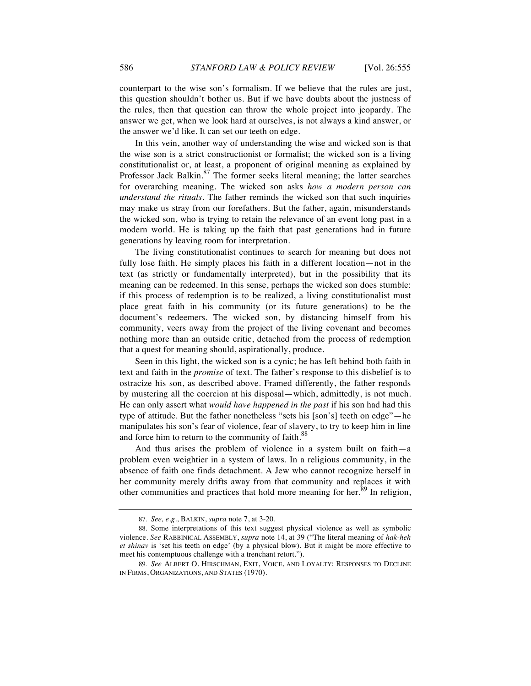counterpart to the wise son's formalism. If we believe that the rules are just, this question shouldn't bother us. But if we have doubts about the justness of the rules, then that question can throw the whole project into jeopardy. The answer we get, when we look hard at ourselves, is not always a kind answer, or the answer we'd like. It can set our teeth on edge.

In this vein, another way of understanding the wise and wicked son is that the wise son is a strict constructionist or formalist; the wicked son is a living constitutionalist or, at least, a proponent of original meaning as explained by Professor Jack Balkin. $87$  The former seeks literal meaning; the latter searches for overarching meaning. The wicked son asks *how a modern person can understand the rituals*. The father reminds the wicked son that such inquiries may make us stray from our forefathers. But the father, again, misunderstands the wicked son, who is trying to retain the relevance of an event long past in a modern world. He is taking up the faith that past generations had in future generations by leaving room for interpretation.

The living constitutionalist continues to search for meaning but does not fully lose faith. He simply places his faith in a different location—not in the text (as strictly or fundamentally interpreted), but in the possibility that its meaning can be redeemed. In this sense, perhaps the wicked son does stumble: if this process of redemption is to be realized, a living constitutionalist must place great faith in his community (or its future generations) to be the document's redeemers. The wicked son, by distancing himself from his community, veers away from the project of the living covenant and becomes nothing more than an outside critic, detached from the process of redemption that a quest for meaning should, aspirationally, produce.

Seen in this light, the wicked son is a cynic; he has left behind both faith in text and faith in the *promise* of text. The father's response to this disbelief is to ostracize his son, as described above. Framed differently, the father responds by mustering all the coercion at his disposal—which, admittedly, is not much. He can only assert what *would have happened in the past* if his son had had this type of attitude. But the father nonetheless "sets his [son's] teeth on edge"—he manipulates his son's fear of violence, fear of slavery, to try to keep him in line and force him to return to the community of faith.<sup>88</sup>

And thus arises the problem of violence in a system built on faith—a problem even weightier in a system of laws. In a religious community, in the absence of faith one finds detachment. A Jew who cannot recognize herself in her community merely drifts away from that community and replaces it with other communities and practices that hold more meaning for her.<sup>89</sup> In religion,

<sup>87.</sup> *See, e.g.*, BALKIN, *supra* note 7, at 3-20.

<sup>88.</sup> Some interpretations of this text suggest physical violence as well as symbolic violence. *See* RABBINICAL ASSEMBLY, *supra* note 14, at 39 ("The literal meaning of *hak-heh et shinav* is 'set his teeth on edge' (by a physical blow). But it might be more effective to meet his contemptuous challenge with a trenchant retort.").

<sup>89.</sup> *See* ALBERT O. HIRSCHMAN, EXIT, VOICE, AND LOYALTY: RESPONSES TO DECLINE IN FIRMS, ORGANIZATIONS, AND STATES (1970).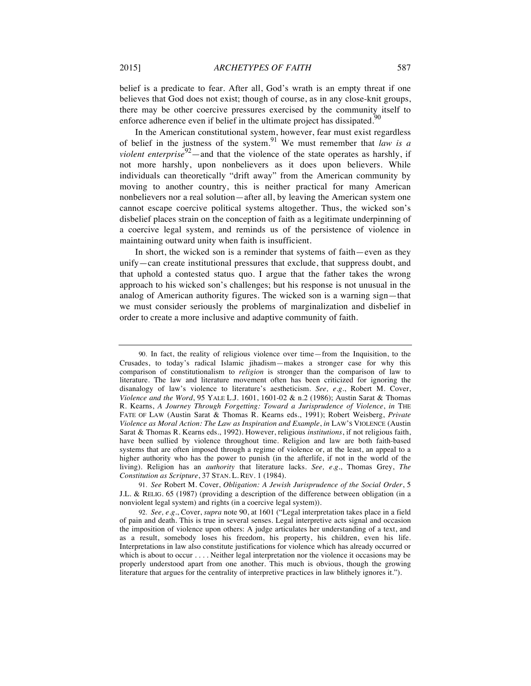belief is a predicate to fear. After all, God's wrath is an empty threat if one believes that God does not exist; though of course, as in any close-knit groups, there may be other coercive pressures exercised by the community itself to enforce adherence even if belief in the ultimate project has dissipated.<sup>90</sup>

In the American constitutional system, however, fear must exist regardless of belief in the justness of the system.<sup>91</sup> We must remember that *law is a violent enterprise*<sup>92</sup>—and that the violence of the state operates as harshly, if not more harshly, upon nonbelievers as it does upon believers. While individuals can theoretically "drift away" from the American community by moving to another country, this is neither practical for many American nonbelievers nor a real solution—after all, by leaving the American system one cannot escape coercive political systems altogether. Thus, the wicked son's disbelief places strain on the conception of faith as a legitimate underpinning of a coercive legal system, and reminds us of the persistence of violence in maintaining outward unity when faith is insufficient.

In short, the wicked son is a reminder that systems of faith—even as they unify—can create institutional pressures that exclude, that suppress doubt, and that uphold a contested status quo. I argue that the father takes the wrong approach to his wicked son's challenges; but his response is not unusual in the analog of American authority figures. The wicked son is a warning sign—that we must consider seriously the problems of marginalization and disbelief in order to create a more inclusive and adaptive community of faith.

<sup>90.</sup> In fact, the reality of religious violence over time—from the Inquisition, to the Crusades, to today's radical Islamic jihadism—makes a stronger case for why this comparison of constitutionalism to *religion* is stronger than the comparison of law to literature. The law and literature movement often has been criticized for ignoring the disanalogy of law's violence to literature's aestheticism. *See, e.g.*, Robert M. Cover, *Violence and the Word*, 95 YALE L.J. 1601, 1601-02 & n.2 (1986); Austin Sarat & Thomas R. Kearns, *A Journey Through Forgetting: Toward a Jurisprudence of Violence*, *in* THE FATE OF LAW (Austin Sarat & Thomas R. Kearns eds., 1991); Robert Weisberg, *Private Violence as Moral Action: The Law as Inspiration and Example*, *in* LAW'S VIOLENCE (Austin Sarat & Thomas R. Kearns eds., 1992). However, religious *institutions*, if not religious faith, have been sullied by violence throughout time. Religion and law are both faith-based systems that are often imposed through a regime of violence or, at the least, an appeal to a higher authority who has the power to punish (in the afterlife, if not in the world of the living). Religion has an *authority* that literature lacks. *See, e.g.*, Thomas Grey, *The Constitution as Scripture*, 37 STAN. L. REV. 1 (1984).

<sup>91.</sup> *See* Robert M. Cover, *Obligation: A Jewish Jurisprudence of the Social Order*, 5 J.L. & RELIG. 65 (1987) (providing a description of the difference between obligation (in a nonviolent legal system) and rights (in a coercive legal system)).

<sup>92.</sup> *See, e.g.*, Cover, *supra* note 90, at 1601 ("Legal interpretation takes place in a field of pain and death. This is true in several senses. Legal interpretive acts signal and occasion the imposition of violence upon others: A judge articulates her understanding of a text, and as a result, somebody loses his freedom, his property, his children, even his life. Interpretations in law also constitute justifications for violence which has already occurred or which is about to occur . . . . Neither legal interpretation nor the violence it occasions may be properly understood apart from one another. This much is obvious, though the growing literature that argues for the centrality of interpretive practices in law blithely ignores it.").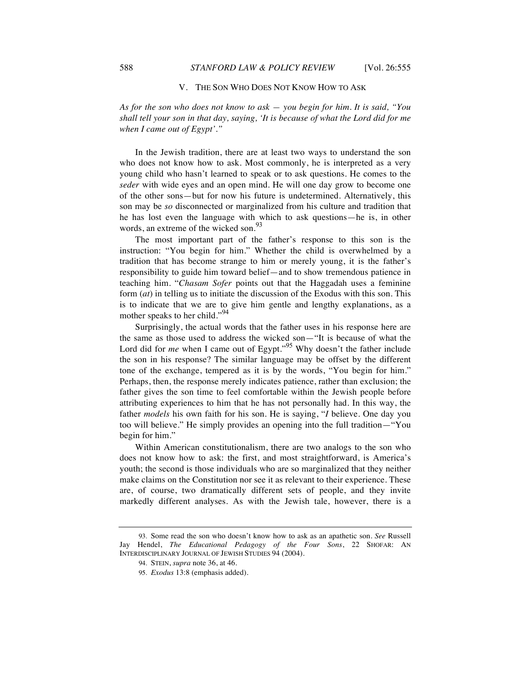#### V. THE SON WHO DOES NOT KNOW HOW TO ASK

*As for the son who does not know to ask — you begin for him. It is said, "You shall tell your son in that day, saying, 'It is because of what the Lord did for me when I came out of Egypt'."* 

In the Jewish tradition, there are at least two ways to understand the son who does not know how to ask. Most commonly, he is interpreted as a very young child who hasn't learned to speak or to ask questions. He comes to the *seder* with wide eyes and an open mind. He will one day grow to become one of the other sons—but for now his future is undetermined. Alternatively, this son may be *so* disconnected or marginalized from his culture and tradition that he has lost even the language with which to ask questions—he is, in other words, an extreme of the wicked son.<sup>93</sup>

The most important part of the father's response to this son is the instruction: "You begin for him." Whether the child is overwhelmed by a tradition that has become strange to him or merely young, it is the father's responsibility to guide him toward belief—and to show tremendous patience in teaching him. "*Chasam Sofer* points out that the Haggadah uses a feminine form (*at*) in telling us to initiate the discussion of the Exodus with this son. This is to indicate that we are to give him gentle and lengthy explanations, as a mother speaks to her child."<sup>94</sup>

Surprisingly, the actual words that the father uses in his response here are the same as those used to address the wicked son—"It is because of what the Lord did for *me* when I came out of Egypt."<sup>95</sup> Why doesn't the father include the son in his response? The similar language may be offset by the different tone of the exchange, tempered as it is by the words, "You begin for him." Perhaps, then, the response merely indicates patience, rather than exclusion; the father gives the son time to feel comfortable within the Jewish people before attributing experiences to him that he has not personally had. In this way, the father *models* his own faith for his son. He is saying, "*I* believe. One day you too will believe." He simply provides an opening into the full tradition—"You begin for him."

Within American constitutionalism, there are two analogs to the son who does not know how to ask: the first, and most straightforward, is America's youth; the second is those individuals who are so marginalized that they neither make claims on the Constitution nor see it as relevant to their experience. These are, of course, two dramatically different sets of people, and they invite markedly different analyses. As with the Jewish tale, however, there is a

<sup>93.</sup> Some read the son who doesn't know how to ask as an apathetic son. *See* Russell Jay Hendel, *The Educational Pedagogy of the Four Sons*, 22 SHOFAR: AN INTERDISCIPLINARY JOURNAL OF JEWISH STUDIES 94 (2004).

<sup>94.</sup> STEIN, *supra* note 36, at 46.

<sup>95.</sup> *Exodus* 13:8 (emphasis added).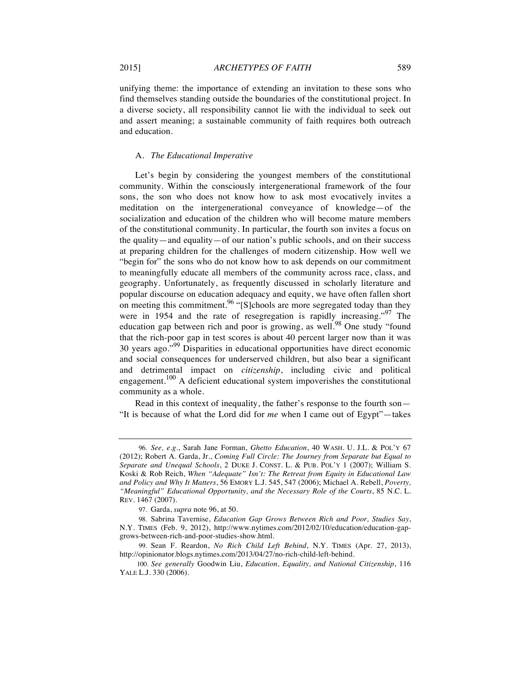unifying theme: the importance of extending an invitation to these sons who find themselves standing outside the boundaries of the constitutional project. In a diverse society, all responsibility cannot lie with the individual to seek out and assert meaning; a sustainable community of faith requires both outreach and education.

#### A. *The Educational Imperative*

Let's begin by considering the youngest members of the constitutional community. Within the consciously intergenerational framework of the four sons, the son who does not know how to ask most evocatively invites a meditation on the intergenerational conveyance of knowledge—of the socialization and education of the children who will become mature members of the constitutional community. In particular, the fourth son invites a focus on the quality—and equality—of our nation's public schools, and on their success at preparing children for the challenges of modern citizenship. How well we "begin for" the sons who do not know how to ask depends on our commitment to meaningfully educate all members of the community across race, class, and geography. Unfortunately, as frequently discussed in scholarly literature and popular discourse on education adequacy and equity, we have often fallen short on meeting this commitment.<sup>96</sup> "[S]chools are more segregated today than they were in 1954 and the rate of resegregation is rapidly increasing."<sup>97</sup> The education gap between rich and poor is growing, as well.<sup>98</sup> One study "found that the rich-poor gap in test scores is about 40 percent larger now than it was 30 years ago."<sup>99</sup> Disparities in educational opportunities have direct economic and social consequences for underserved children, but also bear a significant and detrimental impact on *citizenship*, including civic and political engagement.<sup>100</sup> A deficient educational system impoverishes the constitutional community as a whole.

Read in this context of inequality, the father's response to the fourth son— "It is because of what the Lord did for *me* when I came out of Egypt"—takes

<sup>96.</sup> *See, e.g*., Sarah Jane Forman, *Ghetto Education*, 40 WASH. U. J.L. & POL'Y 67 (2012); Robert A. Garda, Jr., *Coming Full Circle: The Journey from Separate but Equal to Separate and Unequal Schools*, 2 DUKE J. CONST. L. & PUB. POL'Y 1 (2007); William S. Koski & Rob Reich, *When "Adequate" Isn't: The Retreat from Equity in Educational Law and Policy and Why It Matters*, 56 EMORY L.J. 545, 547 (2006); Michael A. Rebell, *Poverty, "Meaningful" Educational Opportunity, and the Necessary Role of the Courts*, 85 N.C. L. REV. 1467 (2007).

<sup>97.</sup> Garda, *supra* note 96, at 50.

<sup>98.</sup> Sabrina Tavernise, *Education Gap Grows Between Rich and Poor, Studies Say*, N.Y. TIMES (Feb. 9, 2012), http://www.nytimes.com/2012/02/10/education/education-gapgrows-between-rich-and-poor-studies-show.html.

<sup>99.</sup> Sean F. Reardon, *No Rich Child Left Behind*, N.Y. TIMES (Apr. 27, 2013), http://opinionator.blogs.nytimes.com/2013/04/27/no-rich-child-left-behind.

<sup>100.</sup> *See generally* Goodwin Liu, *Education, Equality, and National Citizenship*, 116 YALE L.J. 330 (2006).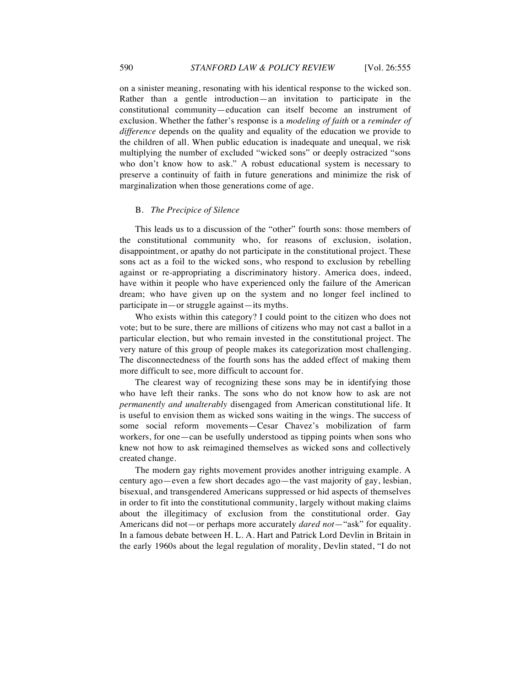on a sinister meaning, resonating with his identical response to the wicked son. Rather than a gentle introduction—an invitation to participate in the constitutional community—education can itself become an instrument of exclusion. Whether the father's response is a *modeling of faith* or a *reminder of difference* depends on the quality and equality of the education we provide to the children of all. When public education is inadequate and unequal, we risk multiplying the number of excluded "wicked sons" or deeply ostracized "sons who don't know how to ask." A robust educational system is necessary to preserve a continuity of faith in future generations and minimize the risk of marginalization when those generations come of age.

#### B. *The Precipice of Silence*

This leads us to a discussion of the "other" fourth sons: those members of the constitutional community who, for reasons of exclusion, isolation, disappointment, or apathy do not participate in the constitutional project. These sons act as a foil to the wicked sons, who respond to exclusion by rebelling against or re-appropriating a discriminatory history. America does, indeed, have within it people who have experienced only the failure of the American dream; who have given up on the system and no longer feel inclined to participate in—or struggle against—its myths.

Who exists within this category? I could point to the citizen who does not vote; but to be sure, there are millions of citizens who may not cast a ballot in a particular election, but who remain invested in the constitutional project. The very nature of this group of people makes its categorization most challenging. The disconnectedness of the fourth sons has the added effect of making them more difficult to see, more difficult to account for.

The clearest way of recognizing these sons may be in identifying those who have left their ranks. The sons who do not know how to ask are not *permanently and unalterably* disengaged from American constitutional life. It is useful to envision them as wicked sons waiting in the wings. The success of some social reform movements—Cesar Chavez's mobilization of farm workers, for one—can be usefully understood as tipping points when sons who knew not how to ask reimagined themselves as wicked sons and collectively created change.

The modern gay rights movement provides another intriguing example. A century ago—even a few short decades ago—the vast majority of gay, lesbian, bisexual, and transgendered Americans suppressed or hid aspects of themselves in order to fit into the constitutional community, largely without making claims about the illegitimacy of exclusion from the constitutional order. Gay Americans did not—or perhaps more accurately *dared not*—"ask" for equality. In a famous debate between H. L. A. Hart and Patrick Lord Devlin in Britain in the early 1960s about the legal regulation of morality, Devlin stated, "I do not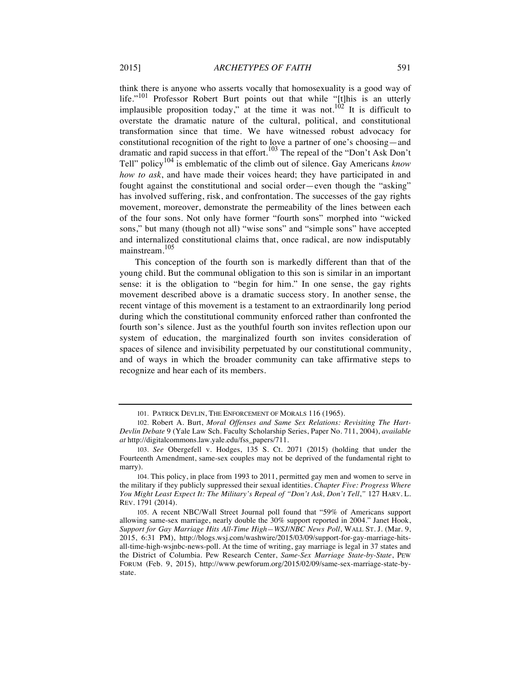think there is anyone who asserts vocally that homosexuality is a good way of life."<sup>101</sup> Professor Robert Burt points out that while "[t]his is an utterly implausible proposition today," at the time it was not.<sup>102</sup> It is difficult to overstate the dramatic nature of the cultural, political, and constitutional transformation since that time. We have witnessed robust advocacy for constitutional recognition of the right to love a partner of one's choosing—and dramatic and rapid success in that effort.<sup>103</sup> The repeal of the "Don't Ask Don't Tell" policy<sup>104</sup> is emblematic of the climb out of silence. Gay Americans *know how to ask*, and have made their voices heard; they have participated in and fought against the constitutional and social order—even though the "asking" has involved suffering, risk, and confrontation. The successes of the gay rights movement, moreover, demonstrate the permeability of the lines between each of the four sons. Not only have former "fourth sons" morphed into "wicked sons," but many (though not all) "wise sons" and "simple sons" have accepted and internalized constitutional claims that, once radical, are now indisputably mainstream.<sup>105</sup>

This conception of the fourth son is markedly different than that of the young child. But the communal obligation to this son is similar in an important sense: it is the obligation to "begin for him." In one sense, the gay rights movement described above is a dramatic success story. In another sense, the recent vintage of this movement is a testament to an extraordinarily long period during which the constitutional community enforced rather than confronted the fourth son's silence. Just as the youthful fourth son invites reflection upon our system of education, the marginalized fourth son invites consideration of spaces of silence and invisibility perpetuated by our constitutional community, and of ways in which the broader community can take affirmative steps to recognize and hear each of its members.

<sup>101.</sup> PATRICK DEVLIN, THE ENFORCEMENT OF MORALS 116 (1965).

<sup>102.</sup> Robert A. Burt, *Moral Offenses and Same Sex Relations: Revisiting The Hart-Devlin Debate* 9 (Yale Law Sch. Faculty Scholarship Series, Paper No. 711, 2004), *available at* http://digitalcommons.law.yale.edu/fss\_papers/711.

<sup>103.</sup> *See* Obergefell v. Hodges, 135 S. Ct. 2071 (2015) (holding that under the Fourteenth Amendment, same-sex couples may not be deprived of the fundamental right to marry).

<sup>104.</sup> This policy, in place from 1993 to 2011, permitted gay men and women to serve in the military if they publicly suppressed their sexual identities. *Chapter Five: Progress Where*  You Might Least Expect It: The Military's Repeal of "Don't Ask, Don't Tell," 127 HARV. L. REV. 1791 (2014).

<sup>105.</sup> A recent NBC/Wall Street Journal poll found that "59% of Americans support allowing same-sex marriage, nearly double the 30% support reported in 2004." Janet Hook, *Support for Gay Marriage Hits All-Time High—WSJ/NBC News Poll*, WALL ST. J. (Mar. 9, 2015, 6:31 PM), http://blogs.wsj.com/washwire/2015/03/09/support-for-gay-marriage-hitsall-time-high-wsjnbc-news-poll. At the time of writing, gay marriage is legal in 37 states and the District of Columbia. Pew Research Center, *Same-Sex Marriage State-by-State*, PEW FORUM (Feb. 9, 2015), http://www.pewforum.org/2015/02/09/same-sex-marriage-state-bystate.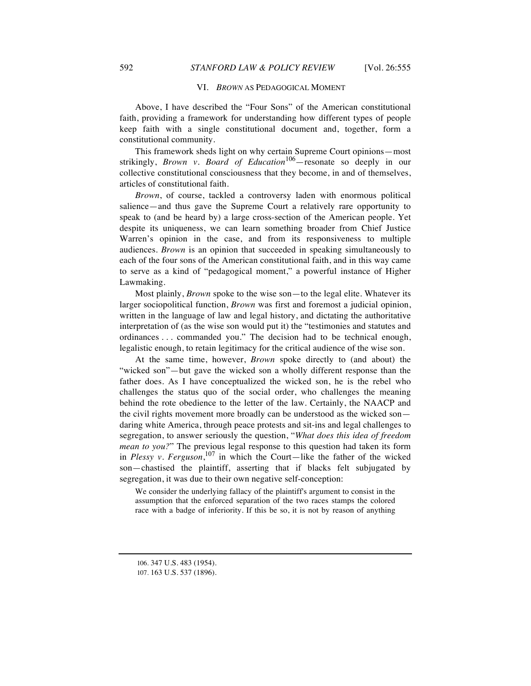#### VI. *BROWN* AS PEDAGOGICAL MOMENT

Above, I have described the "Four Sons" of the American constitutional faith, providing a framework for understanding how different types of people keep faith with a single constitutional document and, together, form a constitutional community.

This framework sheds light on why certain Supreme Court opinions—most strikingly, *Brown v. Board of Education*106—resonate so deeply in our collective constitutional consciousness that they become, in and of themselves, articles of constitutional faith.

*Brown*, of course, tackled a controversy laden with enormous political salience—and thus gave the Supreme Court a relatively rare opportunity to speak to (and be heard by) a large cross-section of the American people. Yet despite its uniqueness, we can learn something broader from Chief Justice Warren's opinion in the case, and from its responsiveness to multiple audiences. *Brown* is an opinion that succeeded in speaking simultaneously to each of the four sons of the American constitutional faith, and in this way came to serve as a kind of "pedagogical moment," a powerful instance of Higher Lawmaking.

Most plainly, *Brown* spoke to the wise son—to the legal elite. Whatever its larger sociopolitical function, *Brown* was first and foremost a judicial opinion, written in the language of law and legal history, and dictating the authoritative interpretation of (as the wise son would put it) the "testimonies and statutes and ordinances . . . commanded you." The decision had to be technical enough, legalistic enough, to retain legitimacy for the critical audience of the wise son.

At the same time, however, *Brown* spoke directly to (and about) the "wicked son"—but gave the wicked son a wholly different response than the father does. As I have conceptualized the wicked son, he is the rebel who challenges the status quo of the social order, who challenges the meaning behind the rote obedience to the letter of the law. Certainly, the NAACP and the civil rights movement more broadly can be understood as the wicked son daring white America, through peace protests and sit-ins and legal challenges to segregation, to answer seriously the question, "*What does this idea of freedom mean to you?*" The previous legal response to this question had taken its form in *Plessy v. Ferguson*, <sup>107</sup> in which the Court—like the father of the wicked son—chastised the plaintiff, asserting that if blacks felt subjugated by segregation, it was due to their own negative self-conception:

We consider the underlying fallacy of the plaintiff's argument to consist in the assumption that the enforced separation of the two races stamps the colored race with a badge of inferiority. If this be so, it is not by reason of anything

<sup>106.</sup> 347 U.S. 483 (1954).

<sup>107.</sup> 163 U.S. 537 (1896).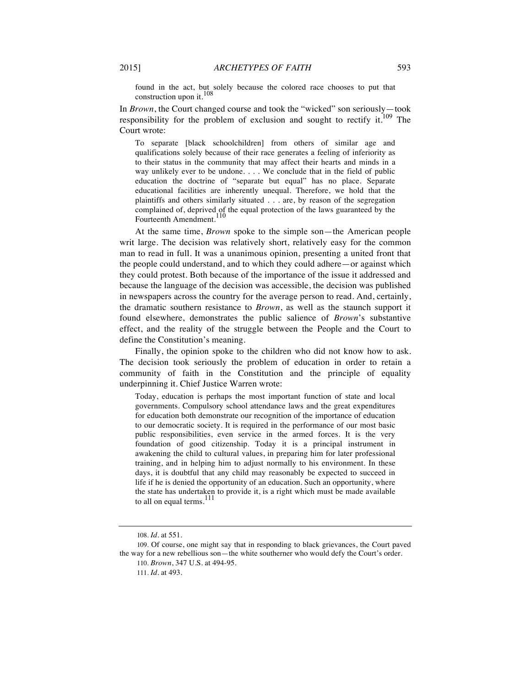found in the act, but solely because the colored race chooses to put that construction upon it.<sup>108</sup>

In *Brown*, the Court changed course and took the "wicked" son seriously—took responsibility for the problem of exclusion and sought to rectify it.<sup>109</sup> The Court wrote:

To separate [black schoolchildren] from others of similar age and qualifications solely because of their race generates a feeling of inferiority as to their status in the community that may affect their hearts and minds in a way unlikely ever to be undone. . . . We conclude that in the field of public education the doctrine of "separate but equal" has no place. Separate educational facilities are inherently unequal. Therefore, we hold that the plaintiffs and others similarly situated . . . are, by reason of the segregation complained of, deprived of the equal protection of the laws guaranteed by the Fourteenth Amendment.<sup>110</sup>

At the same time, *Brown* spoke to the simple son—the American people writ large. The decision was relatively short, relatively easy for the common man to read in full. It was a unanimous opinion, presenting a united front that the people could understand, and to which they could adhere—or against which they could protest. Both because of the importance of the issue it addressed and because the language of the decision was accessible, the decision was published in newspapers across the country for the average person to read. And, certainly, the dramatic southern resistance to *Brown*, as well as the staunch support it found elsewhere, demonstrates the public salience of *Brown*'s substantive effect, and the reality of the struggle between the People and the Court to define the Constitution's meaning.

Finally, the opinion spoke to the children who did not know how to ask. The decision took seriously the problem of education in order to retain a community of faith in the Constitution and the principle of equality underpinning it. Chief Justice Warren wrote:

Today, education is perhaps the most important function of state and local governments. Compulsory school attendance laws and the great expenditures for education both demonstrate our recognition of the importance of education to our democratic society. It is required in the performance of our most basic public responsibilities, even service in the armed forces. It is the very foundation of good citizenship. Today it is a principal instrument in awakening the child to cultural values, in preparing him for later professional training, and in helping him to adjust normally to his environment. In these days, it is doubtful that any child may reasonably be expected to succeed in life if he is denied the opportunity of an education. Such an opportunity, where the state has undertaken to provide it, is a right which must be made available to all on equal terms. $^{111}$ 

<sup>108.</sup> *Id.* at 551.

<sup>109.</sup> Of course, one might say that in responding to black grievances, the Court paved the way for a new rebellious son—the white southerner who would defy the Court's order. 110. *Brown*, 347 U.S. at 494-95.

<sup>111.</sup> *Id.* at 493.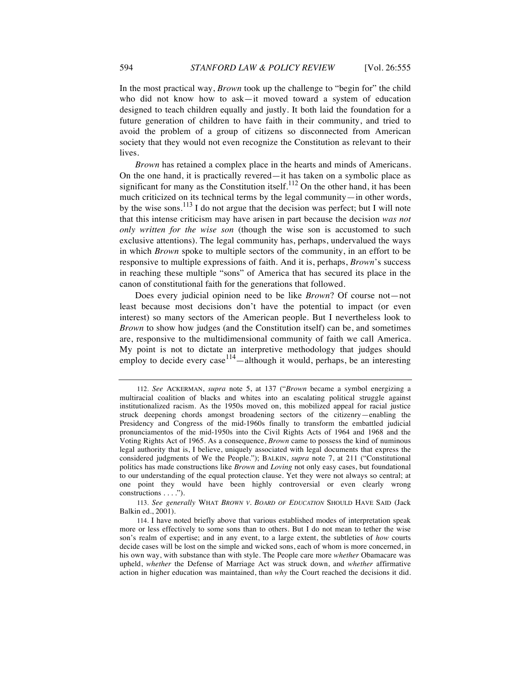In the most practical way, *Brown* took up the challenge to "begin for" the child who did not know how to ask—it moved toward a system of education designed to teach children equally and justly. It both laid the foundation for a future generation of children to have faith in their community, and tried to avoid the problem of a group of citizens so disconnected from American society that they would not even recognize the Constitution as relevant to their lives.

*Brown* has retained a complex place in the hearts and minds of Americans. On the one hand, it is practically revered—it has taken on a symbolic place as significant for many as the Constitution itself.<sup>112</sup> On the other hand, it has been much criticized on its technical terms by the legal community—in other words, by the wise sons.<sup>113</sup> I do not argue that the decision was perfect; but I will note that this intense criticism may have arisen in part because the decision *was not only written for the wise son* (though the wise son is accustomed to such exclusive attentions). The legal community has, perhaps, undervalued the ways in which *Brown* spoke to multiple sectors of the community, in an effort to be responsive to multiple expressions of faith. And it is, perhaps, *Brown*'s success in reaching these multiple "sons" of America that has secured its place in the canon of constitutional faith for the generations that followed.

Does every judicial opinion need to be like *Brown*? Of course not—not least because most decisions don't have the potential to impact (or even interest) so many sectors of the American people. But I nevertheless look to *Brown* to show how judges (and the Constitution itself) can be, and sometimes are, responsive to the multidimensional community of faith we call America. My point is not to dictate an interpretive methodology that judges should employ to decide every case  $114$ —although it would, perhaps, be an interesting

113. *See generally* WHAT *BROWN V. BOARD OF EDUCATION* SHOULD HAVE SAID (Jack Balkin ed., 2001).

<sup>112.</sup> *See* ACKERMAN, *supra* note 5, at 137 ("*Brown* became a symbol energizing a multiracial coalition of blacks and whites into an escalating political struggle against institutionalized racism. As the 1950s moved on, this mobilized appeal for racial justice struck deepening chords amongst broadening sectors of the citizenry—enabling the Presidency and Congress of the mid-1960s finally to transform the embattled judicial pronunciamentos of the mid-1950s into the Civil Rights Acts of 1964 and 1968 and the Voting Rights Act of 1965. As a consequence, *Brown* came to possess the kind of numinous legal authority that is, I believe, uniquely associated with legal documents that express the considered judgments of We the People."); BALKIN, *supra* note 7, at 211 ("Constitutional politics has made constructions like *Brown* and *Loving* not only easy cases, but foundational to our understanding of the equal protection clause. Yet they were not always so central; at one point they would have been highly controversial or even clearly wrong constructions . . . .").

<sup>114.</sup> I have noted briefly above that various established modes of interpretation speak more or less effectively to some sons than to others. But I do not mean to tether the wise son's realm of expertise; and in any event, to a large extent, the subtleties of *how* courts decide cases will be lost on the simple and wicked sons, each of whom is more concerned, in his own way, with substance than with style. The People care more *whether* Obamacare was upheld, *whether* the Defense of Marriage Act was struck down, and *whether* affirmative action in higher education was maintained, than *why* the Court reached the decisions it did.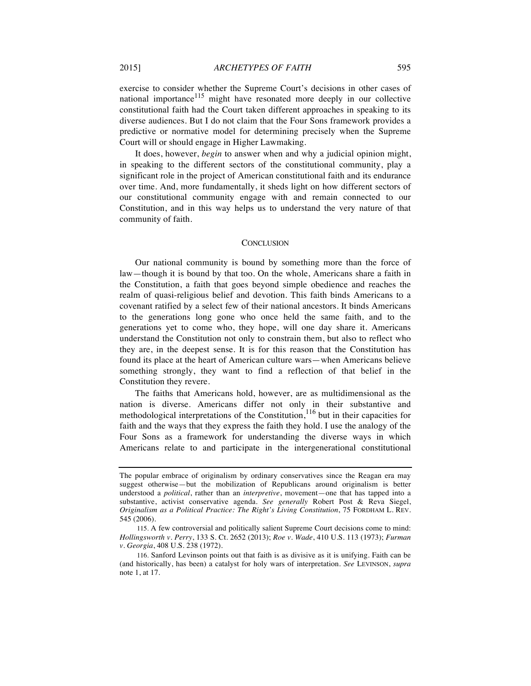exercise to consider whether the Supreme Court's decisions in other cases of national importance $115$  might have resonated more deeply in our collective constitutional faith had the Court taken different approaches in speaking to its diverse audiences. But I do not claim that the Four Sons framework provides a predictive or normative model for determining precisely when the Supreme Court will or should engage in Higher Lawmaking.

It does, however, *begin* to answer when and why a judicial opinion might, in speaking to the different sectors of the constitutional community, play a significant role in the project of American constitutional faith and its endurance over time. And, more fundamentally, it sheds light on how different sectors of our constitutional community engage with and remain connected to our Constitution, and in this way helps us to understand the very nature of that community of faith.

#### **CONCLUSION**

Our national community is bound by something more than the force of law—though it is bound by that too. On the whole, Americans share a faith in the Constitution, a faith that goes beyond simple obedience and reaches the realm of quasi-religious belief and devotion. This faith binds Americans to a covenant ratified by a select few of their national ancestors. It binds Americans to the generations long gone who once held the same faith, and to the generations yet to come who, they hope, will one day share it. Americans understand the Constitution not only to constrain them, but also to reflect who they are, in the deepest sense. It is for this reason that the Constitution has found its place at the heart of American culture wars—when Americans believe something strongly, they want to find a reflection of that belief in the Constitution they revere.

The faiths that Americans hold, however, are as multidimensional as the nation is diverse. Americans differ not only in their substantive and methodological interpretations of the Constitution, $116$  but in their capacities for faith and the ways that they express the faith they hold. I use the analogy of the Four Sons as a framework for understanding the diverse ways in which Americans relate to and participate in the intergenerational constitutional

The popular embrace of originalism by ordinary conservatives since the Reagan era may suggest otherwise—but the mobilization of Republicans around originalism is better understood a *political*, rather than an *interpretive*, movement—one that has tapped into a substantive, activist conservative agenda. *See generally* Robert Post & Reva Siegel, *Originalism as a Political Practice: The Right's Living Constitution*, 75 FORDHAM L. REV. 545 (2006).

<sup>115.</sup> A few controversial and politically salient Supreme Court decisions come to mind: *Hollingsworth v. Perry*, 133 S. Ct. 2652 (2013); *Roe v. Wade*, 410 U.S. 113 (1973); *Furman v. Georgia*, 408 U.S. 238 (1972).

<sup>116.</sup> Sanford Levinson points out that faith is as divisive as it is unifying. Faith can be (and historically, has been) a catalyst for holy wars of interpretation. *See* LEVINSON, *supra* note 1, at 17.